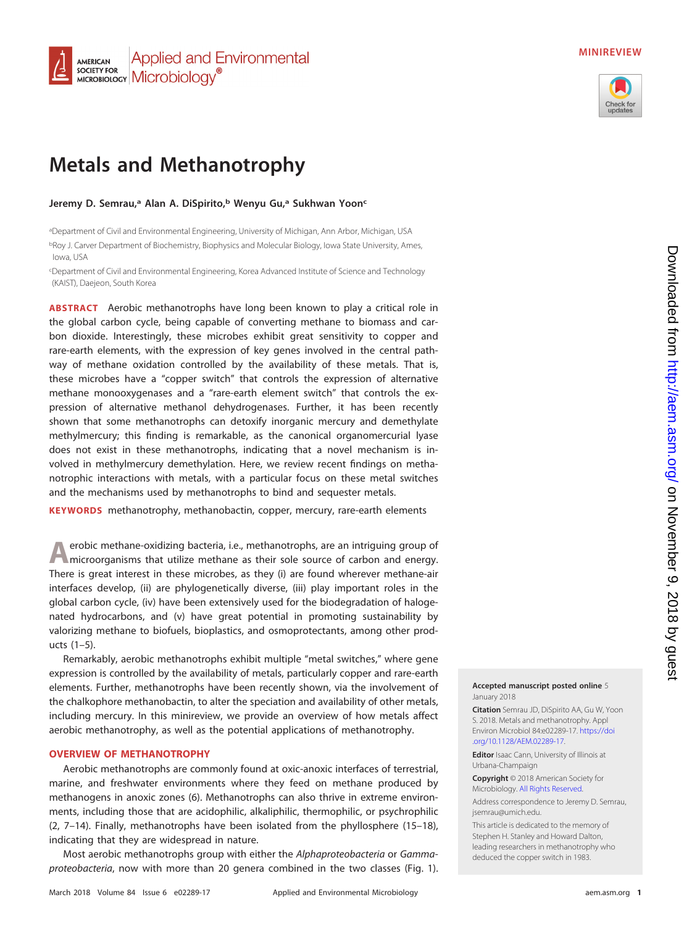#### **Applied and Environmental AMERICAN SOCIETY FOR SOCIETY FOR** Microbiology<sup>®</sup>

# **MINIREVIEW**



# **Metals and Methanotrophy**

**Jeremy D. Semrau,a Alan A. DiSpirito,b Wenyu Gu,a Sukhwan Yoonc**

aDepartment of Civil and Environmental Engineering, University of Michigan, Ann Arbor, Michigan, USA <sup>b</sup>Roy J. Carver Department of Biochemistry, Biophysics and Molecular Biology, Iowa State University, Ames, Iowa, USA

c Department of Civil and Environmental Engineering, Korea Advanced Institute of Science and Technology (KAIST), Daejeon, South Korea

**ABSTRACT** Aerobic methanotrophs have long been known to play a critical role in the global carbon cycle, being capable of converting methane to biomass and carbon dioxide. Interestingly, these microbes exhibit great sensitivity to copper and rare-earth elements, with the expression of key genes involved in the central pathway of methane oxidation controlled by the availability of these metals. That is, these microbes have a "copper switch" that controls the expression of alternative methane monooxygenases and a "rare-earth element switch" that controls the expression of alternative methanol dehydrogenases. Further, it has been recently shown that some methanotrophs can detoxify inorganic mercury and demethylate methylmercury; this finding is remarkable, as the canonical organomercurial lyase does not exist in these methanotrophs, indicating that a novel mechanism is involved in methylmercury demethylation. Here, we review recent findings on methanotrophic interactions with metals, with a particular focus on these metal switches and the mechanisms used by methanotrophs to bind and sequester metals.

**KEYWORDS** methanotrophy, methanobactin, copper, mercury, rare-earth elements

**A**erobic methane-oxidizing bacteria, i.e., methanotrophs, are an intriguing group of microorganisms that utilize methane as their sole source of carbon and energy. There is great interest in these microbes, as they (i) are found wherever methane-air interfaces develop, (ii) are phylogenetically diverse, (iii) play important roles in the global carbon cycle, (iv) have been extensively used for the biodegradation of halogenated hydrocarbons, and (v) have great potential in promoting sustainability by valorizing methane to biofuels, bioplastics, and osmoprotectants, among other products [\(1](#page-12-0)[–](#page-12-1)[5\)](#page-12-2).

Remarkably, aerobic methanotrophs exhibit multiple "metal switches," where gene expression is controlled by the availability of metals, particularly copper and rare-earth elements. Further, methanotrophs have been recently shown, via the involvement of the chalkophore methanobactin, to alter the speciation and availability of other metals, including mercury. In this minireview, we provide an overview of how metals affect aerobic methanotrophy, as well as the potential applications of methanotrophy.

## **OVERVIEW OF METHANOTROPHY**

Aerobic methanotrophs are commonly found at oxic-anoxic interfaces of terrestrial, marine, and freshwater environments where they feed on methane produced by methanogens in anoxic zones [\(6\)](#page-12-3). Methanotrophs can also thrive in extreme environments, including those that are acidophilic, alkaliphilic, thermophilic, or psychrophilic [\(2,](#page-12-4) [7](#page-12-5)[–](#page-12-6)[14\)](#page-12-7). Finally, methanotrophs have been isolated from the phyllosphere [\(15](#page-12-8)[–](#page-12-9)[18\)](#page-12-10), indicating that they are widespread in nature.

Most aerobic methanotrophs group with either the Alphaproteobacteria or Gammaproteobacteria, now with more than 20 genera combined in the two classes [\(Fig. 1\)](#page-1-0).

#### **Accepted manuscript posted online** 5 January 2018

**Citation** Semrau JD, DiSpirito AA, Gu W, Yoon S. 2018. Metals and methanotrophy. Appl Environ Microbiol 84:e02289-17. [https://doi](https://doi.org/10.1128/AEM.02289-17) [.org/10.1128/AEM.02289-17.](https://doi.org/10.1128/AEM.02289-17)

**Editor** Isaac Cann, University of Illinois at Urbana-Champaign

**Copyright** © 2018 American Society for Microbiology. [All Rights Reserved.](https://doi.org/10.1128/ASMCopyrightv2)

Address correspondence to Jeremy D. Semrau, [jsemrau@umich.edu.](mailto:jsemrau@umich.edu)

This article is dedicated to the memory of Stephen H. Stanley and Howard Dalton, leading researchers in methanotrophy who deduced the copper switch in 1983.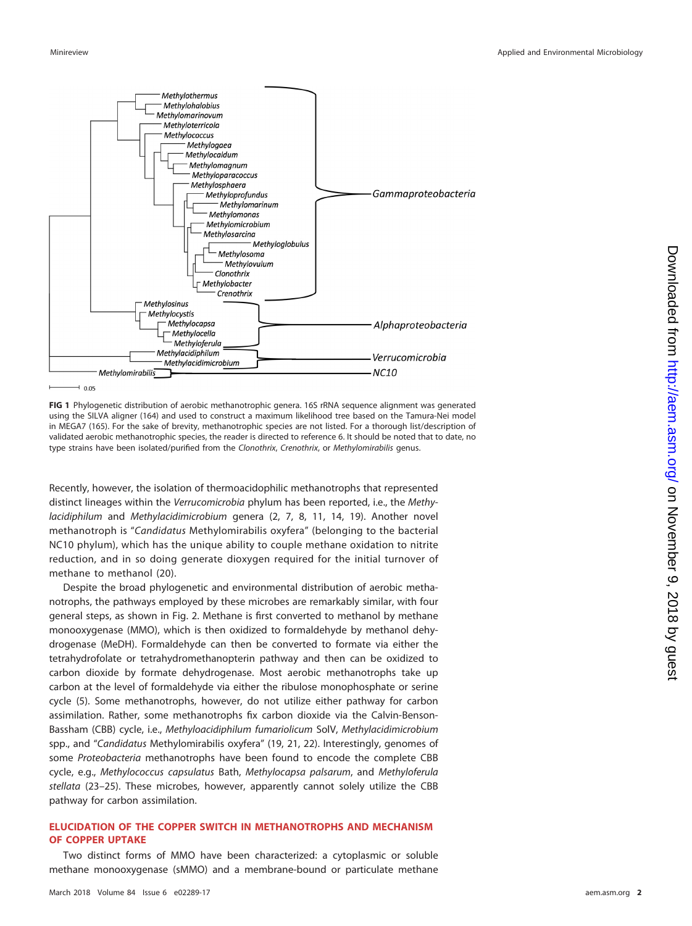

<span id="page-1-0"></span>**FIG 1** Phylogenetic distribution of aerobic methanotrophic genera. 16S rRNA sequence alignment was generated using the SILVA aligner [\(164\)](#page-16-0) and used to construct a maximum likelihood tree based on the Tamura-Nei model in MEGA7 [\(165\)](#page-16-1). For the sake of brevity, methanotrophic species are not listed. For a thorough list/description of validated aerobic methanotrophic species, the reader is directed to reference [6.](#page-12-3) It should be noted that to date, no type strains have been isolated/purified from the Clonothrix, Crenothrix, or Methylomirabilis genus.

Recently, however, the isolation of thermoacidophilic methanotrophs that represented distinct lineages within the Verrucomicrobia phylum has been reported, i.e., the Methylacidiphilum and Methylacidimicrobium genera [\(2,](#page-12-4) [7,](#page-12-5) [8,](#page-12-11) [11,](#page-12-12) [14,](#page-12-7) [19\)](#page-12-13). Another novel methanotroph is "Candidatus Methylomirabilis oxyfera" (belonging to the bacterial NC10 phylum), which has the unique ability to couple methane oxidation to nitrite reduction, and in so doing generate dioxygen required for the initial turnover of methane to methanol [\(20\)](#page-12-14).

Despite the broad phylogenetic and environmental distribution of aerobic methanotrophs, the pathways employed by these microbes are remarkably similar, with four general steps, as shown in [Fig. 2.](#page-2-0) Methane is first converted to methanol by methane monooxygenase (MMO), which is then oxidized to formaldehyde by methanol dehydrogenase (MeDH). Formaldehyde can then be converted to formate via either the tetrahydrofolate or tetrahydromethanopterin pathway and then can be oxidized to carbon dioxide by formate dehydrogenase. Most aerobic methanotrophs take up carbon at the level of formaldehyde via either the ribulose monophosphate or serine cycle [\(5\)](#page-12-2). Some methanotrophs, however, do not utilize either pathway for carbon assimilation. Rather, some methanotrophs fix carbon dioxide via the Calvin-Benson-Bassham (CBB) cycle, i.e., Methyloacidiphilum fumariolicum SolV, Methylacidimicrobium spp., and "Candidatus Methylomirabilis oxyfera" [\(19,](#page-12-13) [21,](#page-12-15) [22\)](#page-12-16). Interestingly, genomes of some Proteobacteria methanotrophs have been found to encode the complete CBB cycle, e.g., Methylococcus capsulatus Bath, Methylocapsa palsarum, and Methyloferula stellata [\(23](#page-12-17)[–](#page-13-0)[25\)](#page-13-1). These microbes, however, apparently cannot solely utilize the CBB pathway for carbon assimilation.

## **ELUCIDATION OF THE COPPER SWITCH IN METHANOTROPHS AND MECHANISM OF COPPER UPTAKE**

Two distinct forms of MMO have been characterized: a cytoplasmic or soluble methane monooxygenase (sMMO) and a membrane-bound or particulate methane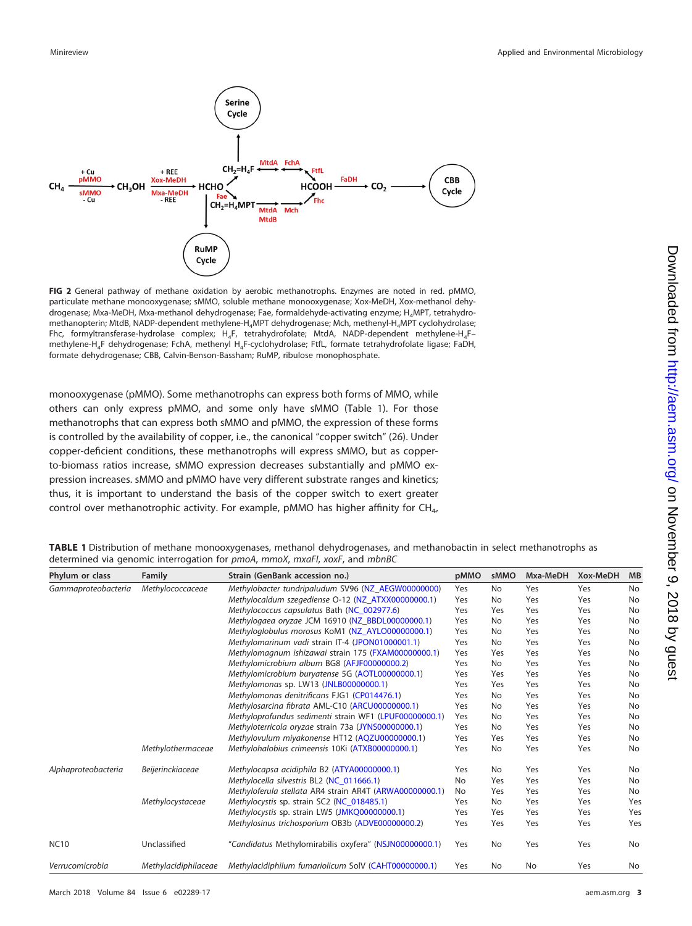

<span id="page-2-0"></span>**FIG 2** General pathway of methane oxidation by aerobic methanotrophs. Enzymes are noted in red. pMMO, particulate methane monooxygenase; sMMO, soluble methane monooxygenase; Xox-MeDH, Xox-methanol dehydrogenase; Mxa-MeDH, Mxa-methanol dehydrogenase; Fae, formaldehyde-activating enzyme; H4MPT, tetrahydromethanopterin; MtdB, NADP-dependent methylene-H<sub>4</sub>MPT dehydrogenase; Mch, methenyl-H<sub>4</sub>MPT cyclohydrolase; Fhc, formyltransferase-hydrolase complex; H<sub>4</sub>F, tetrahydrofolate; MtdA, NADP-dependent methylene-H<sub>4</sub>Fmethylene-H4F dehydrogenase; FchA, methenyl H4F-cyclohydrolase; FtfL, formate tetrahydrofolate ligase; FaDH, formate dehydrogenase; CBB, Calvin-Benson-Bassham; RuMP, ribulose monophosphate.

monooxygenase (pMMO). Some methanotrophs can express both forms of MMO, while others can only express pMMO, and some only have sMMO [\(Table 1\)](#page-2-1). For those methanotrophs that can express both sMMO and pMMO, the expression of these forms is controlled by the availability of copper, i.e., the canonical "copper switch" [\(26\)](#page-13-2). Under copper-deficient conditions, these methanotrophs will express sMMO, but as copperto-biomass ratios increase, sMMO expression decreases substantially and pMMO expression increases. sMMO and pMMO have very different substrate ranges and kinetics; thus, it is important to understand the basis of the copper switch to exert greater control over methanotrophic activity. For example, pMMO has higher affinity for  $CH_{4}$ ,

| Phylum or class     | Family               | Strain (GenBank accession no.)                          | pMMO | sMMO | Mxa-MeDH  | Xox-MeDH | MB  |
|---------------------|----------------------|---------------------------------------------------------|------|------|-----------|----------|-----|
| Gammaproteobacteria | Methylococcaceae     | Methylobacter tundripaludum SV96 (NZ_AEGW00000000)      | Yes  | No   | Yes       | Yes      | No  |
|                     |                      | Methylocaldum szegediense O-12 (NZ_ATXX00000000.1)      | Yes  | No   | Yes       | Yes      | No  |
|                     |                      | Methylococcus capsulatus Bath (NC_002977.6)             | Yes  | Yes  | Yes       | Yes      | No  |
|                     |                      | Methylogaea oryzae JCM 16910 (NZ_BBDL00000000.1)        | Yes  | No   | Yes       | Yes      | No  |
|                     |                      | Methyloglobulus morosus KoM1 (NZ_AYLO00000000.1)        | Yes  | No   | Yes       | Yes      | No  |
|                     |                      | Methylomarinum vadi strain IT-4 (JPON01000001.1)        | Yes  | No   | Yes       | Yes      | No  |
|                     |                      | Methylomagnum ishizawai strain 175 (FXAM00000000.1)     | Yes  | Yes  | Yes       | Yes      | No  |
|                     |                      | Methylomicrobium album BG8 (AFJF00000000.2)             | Yes  | No   | Yes       | Yes      | No  |
|                     |                      | Methylomicrobium buryatense 5G (AOTL00000000.1)         | Yes  | Yes  | Yes       | Yes      | No  |
|                     |                      | Methylomonas sp. LW13 (JNLB00000000.1)                  | Yes  | Yes  | Yes       | Yes      | No  |
|                     |                      | Methylomonas denitrificans FJG1 (CP014476.1)            | Yes  | No   | Yes       | Yes      | No  |
|                     |                      | Methylosarcina fibrata AML-C10 (ARCU00000000.1)         | Yes  | No   | Yes       | Yes      | No  |
|                     |                      | Methyloprofundus sedimenti strain WF1 (LPUF00000000.1)  | Yes  | No   | Yes       | Yes      | No  |
|                     |                      | Methyloterricola oryzae strain 73a (JYNS00000000.1)     | Yes  | No   | Yes       | Yes      | No  |
|                     |                      | Methylovulum miyakonense HT12 (AQZU00000000.1)          | Yes  | Yes  | Yes       | Yes      | No  |
|                     | Methylothermaceae    | Methylohalobius crimeensis 10Ki (ATXB00000000.1)        | Yes  | No   | Yes       | Yes      | No  |
| Alphaproteobacteria | Beijerinckiaceae     | Methylocapsa acidiphila B2 (ATYA00000000.1)             | Yes  | No   | Yes       | Yes      | No  |
|                     |                      | Methylocella silvestris BL2 (NC_011666.1)               | No   | Yes  | Yes       | Yes      | No  |
|                     |                      | Methyloferula stellata AR4 strain AR4T (ARWA00000000.1) | No   | Yes  | Yes       | Yes      | No  |
|                     | Methylocystaceae     | Methylocystis sp. strain SC2 (NC_018485.1)              | Yes  | No   | Yes       | Yes      | Yes |
|                     |                      | Methylocystis sp. strain LW5 (JMKQ00000000.1)           | Yes  | Yes  | Yes       | Yes      | Yes |
|                     |                      | Methylosinus trichosporium OB3b (ADVE00000000.2)        | Yes  | Yes  | Yes       | Yes      | Yes |
| <b>NC10</b>         | Unclassified         | "Candidatus Methylomirabilis oxyfera" (NSJN00000000.1)  | Yes  | No   | Yes       | Yes      | No  |
| Verrucomicrobia     | Methylacidiphilaceae | Methylacidiphilum fumariolicum SolV (CAHT00000000.1)    | Yes  | No   | <b>No</b> | Yes      | No  |

<span id="page-2-1"></span>**TABLE 1** Distribution of methane monooxygenases, methanol dehydrogenases, and methanobactin in select methanotrophs as determined via genomic interrogation for pmoA, mmoX, mxaFI, xoxF, and mbnBC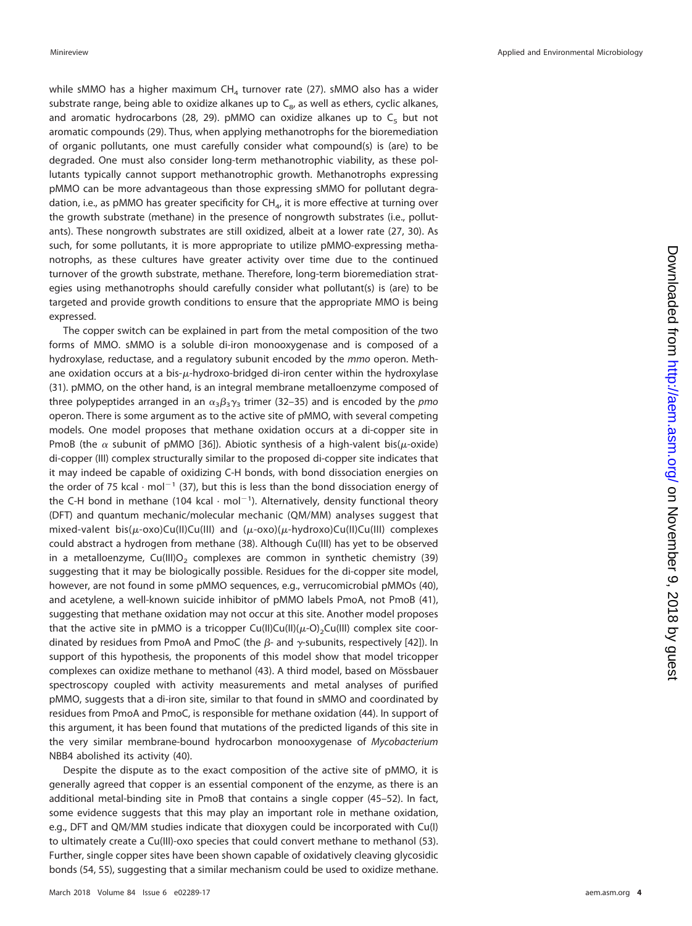while sMMO has a higher maximum  $CH<sub>4</sub>$  turnover rate [\(27\)](#page-13-3). sMMO also has a wider substrate range, being able to oxidize alkanes up to  $C_{8}$ , as well as ethers, cyclic alkanes, and aromatic hydrocarbons [\(28,](#page-13-4) [29\)](#page-13-5). pMMO can oxidize alkanes up to  $C_5$  but not aromatic compounds [\(29\)](#page-13-5). Thus, when applying methanotrophs for the bioremediation of organic pollutants, one must carefully consider what compound(s) is (are) to be degraded. One must also consider long-term methanotrophic viability, as these pollutants typically cannot support methanotrophic growth. Methanotrophs expressing pMMO can be more advantageous than those expressing sMMO for pollutant degradation, i.e., as pMMO has greater specificity for  $CH_{4}$ , it is more effective at turning over the growth substrate (methane) in the presence of nongrowth substrates (i.e., pollutants). These nongrowth substrates are still oxidized, albeit at a lower rate [\(27,](#page-13-3) [30\)](#page-13-6). As such, for some pollutants, it is more appropriate to utilize pMMO-expressing methanotrophs, as these cultures have greater activity over time due to the continued turnover of the growth substrate, methane. Therefore, long-term bioremediation strategies using methanotrophs should carefully consider what pollutant(s) is (are) to be targeted and provide growth conditions to ensure that the appropriate MMO is being expressed.

The copper switch can be explained in part from the metal composition of the two forms of MMO. sMMO is a soluble di-iron monooxygenase and is composed of a hydroxylase, reductase, and a regulatory subunit encoded by the mmo operon. Methane oxidation occurs at a bis- $\mu$ -hydroxo-bridged di-iron center within the hydroxylase [\(31\)](#page-13-7). pMMO, on the other hand, is an integral membrane metalloenzyme composed of three polypeptides arranged in an  $\alpha_3\beta_3\gamma_3$  trimer [\(32](#page-13-8)[–](#page-13-9)[35\)](#page-13-10) and is encoded by the pmo operon. There is some argument as to the active site of pMMO, with several competing models. One model proposes that methane oxidation occurs at a di-copper site in PmoB (the  $\alpha$  subunit of pMMO [\[36\]](#page-13-11)). Abiotic synthesis of a high-valent bis( $\mu$ -oxide) di-copper (III) complex structurally similar to the proposed di-copper site indicates that it may indeed be capable of oxidizing C-H bonds, with bond dissociation energies on the order of 75 kcal  $\cdot$  mol<sup>-1</sup> [\(37\)](#page-13-12), but this is less than the bond dissociation energy of the C-H bond in methane (104 kcal  $\cdot$  mol $^{-1}$ ). Alternatively, density functional theory (DFT) and quantum mechanic/molecular mechanic (QM/MM) analyses suggest that mixed-valent bis( $\mu$ -oxo)Cu(II)Cu(III) and ( $\mu$ -oxo)( $\mu$ -hydroxo)Cu(II)Cu(III) complexes could abstract a hydrogen from methane [\(38\)](#page-13-13). Although Cu(III) has yet to be observed in a metalloenzyme, Cu(III)O<sub>2</sub> complexes are common in synthetic chemistry [\(39\)](#page-13-14) suggesting that it may be biologically possible. Residues for the di-copper site model, however, are not found in some pMMO sequences, e.g., verrucomicrobial pMMOs [\(40\)](#page-13-15), and acetylene, a well-known suicide inhibitor of pMMO labels PmoA, not PmoB [\(41\)](#page-13-16), suggesting that methane oxidation may not occur at this site. Another model proposes that the active site in pMMO is a tricopper Cu(II)Cu(II)( $\mu$ -O)<sub>2</sub>Cu(III) complex site coordinated by residues from PmoA and PmoC (the  $\beta$ - and  $\gamma$ -subunits, respectively [\[42\]](#page-13-17)). In support of this hypothesis, the proponents of this model show that model tricopper complexes can oxidize methane to methanol [\(43\)](#page-13-18). A third model, based on Mössbauer spectroscopy coupled with activity measurements and metal analyses of purified pMMO, suggests that a di-iron site, similar to that found in sMMO and coordinated by residues from PmoA and PmoC, is responsible for methane oxidation [\(44\)](#page-13-19). In support of this argument, it has been found that mutations of the predicted ligands of this site in the very similar membrane-bound hydrocarbon monooxygenase of Mycobacterium NBB4 abolished its activity [\(40\)](#page-13-15).

Despite the dispute as to the exact composition of the active site of pMMO, it is generally agreed that copper is an essential component of the enzyme, as there is an additional metal-binding site in PmoB that contains a single copper [\(45](#page-13-20)[–](#page-13-21)[52\)](#page-13-22). In fact, some evidence suggests that this may play an important role in methane oxidation, e.g., DFT and QM/MM studies indicate that dioxygen could be incorporated with Cu(I) to ultimately create a Cu(III)-oxo species that could convert methane to methanol [\(53\)](#page-13-23). Further, single copper sites have been shown capable of oxidatively cleaving glycosidic bonds [\(54,](#page-13-24) [55\)](#page-13-25), suggesting that a similar mechanism could be used to oxidize methane.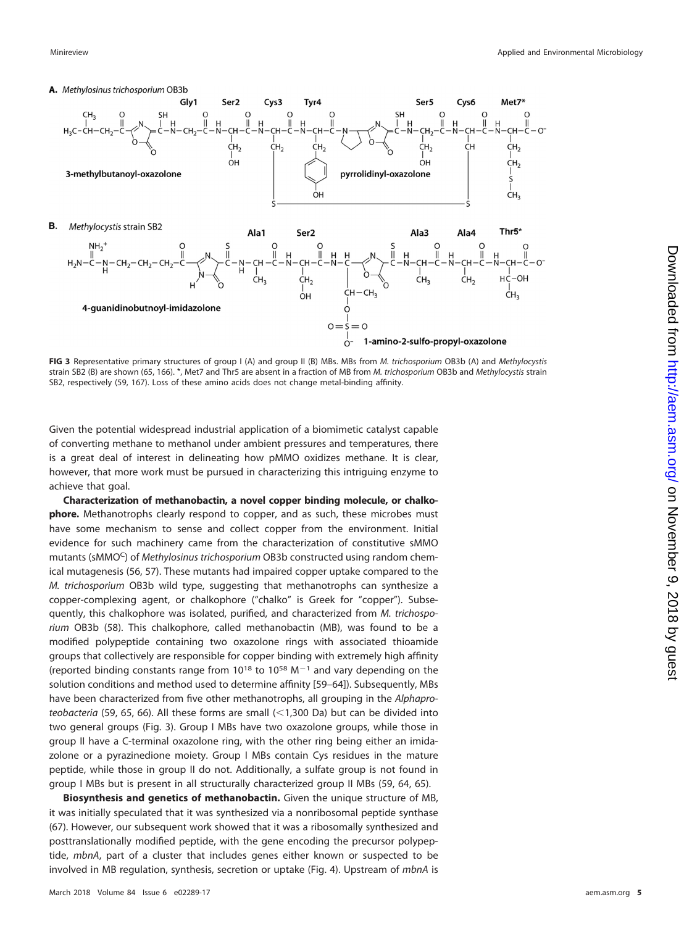

<span id="page-4-0"></span>**FIG 3** Representative primary structures of group I (A) and group II (B) MBs. MBs from M. trichosporium OB3b (A) and Methylocystis strain SB2 (B) are shown [\(65,](#page-14-4) [166\)](#page-16-2). \*, Met7 and Thr5 are absent in a fraction of MB from M. trichosporium OB3b and Methylocystis strain SB2, respectively [\(59,](#page-14-1) [167\)](#page-16-3). Loss of these amino acids does not change metal-binding affinity.

Given the potential widespread industrial application of a biomimetic catalyst capable of converting methane to methanol under ambient pressures and temperatures, there is a great deal of interest in delineating how pMMO oxidizes methane. It is clear, however, that more work must be pursued in characterizing this intriguing enzyme to achieve that goal.

**Characterization of methanobactin, a novel copper binding molecule, or chalkophore.** Methanotrophs clearly respond to copper, and as such, these microbes must have some mechanism to sense and collect copper from the environment. Initial evidence for such machinery came from the characterization of constitutive sMMO mutants (sMMOC) of Methylosinus trichosporium OB3b constructed using random chemical mutagenesis [\(56,](#page-13-26) [57\)](#page-13-27). These mutants had impaired copper uptake compared to the M. trichosporium OB3b wild type, suggesting that methanotrophs can synthesize a copper-complexing agent, or chalkophore ("chalko" is Greek for "copper"). Subsequently, this chalkophore was isolated, purified, and characterized from M. trichosporium OB3b [\(58\)](#page-14-0). This chalkophore, called methanobactin (MB), was found to be a modified polypeptide containing two oxazolone rings with associated thioamide groups that collectively are responsible for copper binding with extremely high affinity (reported binding constants range from  $10^{18}$  to  $10^{58}$  M<sup>-1</sup> and vary depending on the solution conditions and method used to determine affinity [\[59](#page-14-1)[–](#page-14-2)[64\]](#page-14-3)). Subsequently, MBs have been characterized from five other methanotrophs, all grouping in the Alphapro-teobacteria [\(59,](#page-14-1) [65,](#page-14-4) [66\)](#page-14-5). All these forms are small  $\left($  < 1,300 Da) but can be divided into two general groups [\(Fig. 3\)](#page-4-0). Group I MBs have two oxazolone groups, while those in group II have a C-terminal oxazolone ring, with the other ring being either an imidazolone or a pyrazinedione moiety. Group I MBs contain Cys residues in the mature peptide, while those in group II do not. Additionally, a sulfate group is not found in group I MBs but is present in all structurally characterized group II MBs [\(59,](#page-14-1) [64,](#page-14-3) [65\)](#page-14-4).

**Biosynthesis and genetics of methanobactin.** Given the unique structure of MB, it was initially speculated that it was synthesized via a nonribosomal peptide synthase [\(67\)](#page-14-6). However, our subsequent work showed that it was a ribosomally synthesized and posttranslationally modified peptide, with the gene encoding the precursor polypeptide, mbnA, part of a cluster that includes genes either known or suspected to be involved in MB regulation, synthesis, secretion or uptake [\(Fig. 4\)](#page-5-0). Upstream of mbnA is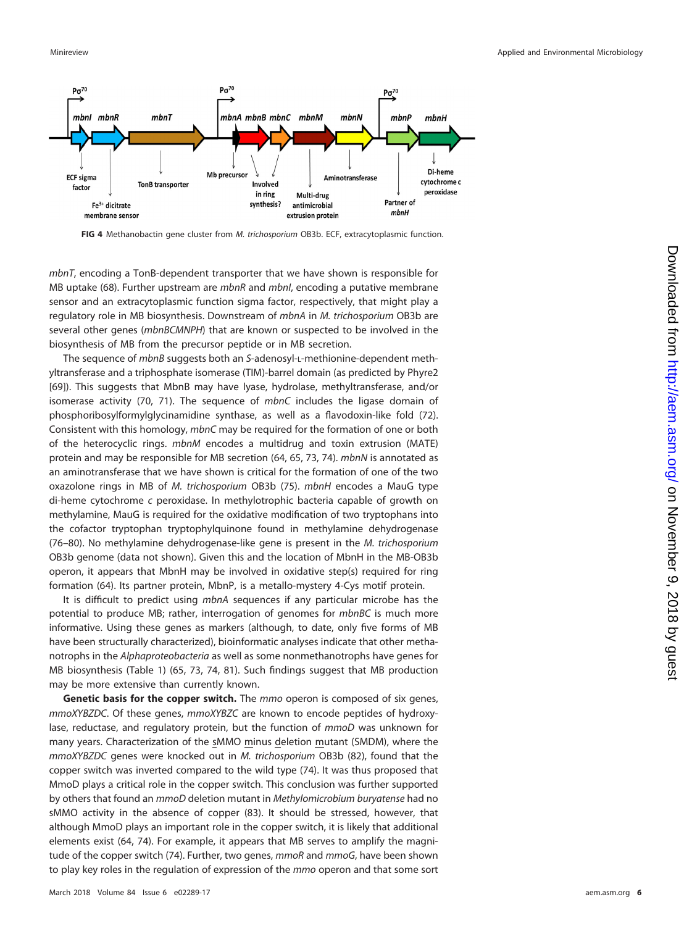

<span id="page-5-0"></span>**FIG 4** Methanobactin gene cluster from M. trichosporium OB3b. ECF, extracytoplasmic function.

mbnT, encoding a TonB-dependent transporter that we have shown is responsible for MB uptake [\(68\)](#page-14-7). Further upstream are  $mbnR$  and  $mbnI$ , encoding a putative membrane sensor and an extracytoplasmic function sigma factor, respectively, that might play a regulatory role in MB biosynthesis. Downstream of mbnA in M. trichosporium OB3b are several other genes (mbnBCMNPH) that are known or suspected to be involved in the biosynthesis of MB from the precursor peptide or in MB secretion.

The sequence of *mbnB* suggests both an S-adenosyl-L-methionine-dependent methyltransferase and a triphosphate isomerase (TIM)-barrel domain (as predicted by Phyre2 [\[69\]](#page-14-8)). This suggests that MbnB may have lyase, hydrolase, methyltransferase, and/or isomerase activity [\(70,](#page-14-9) [71\)](#page-14-10). The sequence of mbnC includes the ligase domain of phosphoribosylformylglycinamidine synthase, as well as a flavodoxin-like fold [\(72\)](#page-14-11). Consistent with this homology, mbnC may be required for the formation of one or both of the heterocyclic rings. mbnM encodes a multidrug and toxin extrusion (MATE) protein and may be responsible for MB secretion [\(64,](#page-14-3) [65,](#page-14-4) [73,](#page-14-12) [74\)](#page-14-13). mbnN is annotated as an aminotransferase that we have shown is critical for the formation of one of the two oxazolone rings in MB of M. trichosporium OB3b [\(75\)](#page-14-14). mbnH encodes a MauG type di-heme cytochrome c peroxidase. In methylotrophic bacteria capable of growth on methylamine, MauG is required for the oxidative modification of two tryptophans into the cofactor tryptophan tryptophylquinone found in methylamine dehydrogenase [\(76](#page-14-15)[–](#page-14-16)[80\)](#page-14-17). No methylamine dehydrogenase-like gene is present in the M. trichosporium OB3b genome (data not shown). Given this and the location of MbnH in the MB-OB3b operon, it appears that MbnH may be involved in oxidative step(s) required for ring formation [\(64\)](#page-14-3). Its partner protein, MbnP, is a metallo-mystery 4-Cys motif protein.

It is difficult to predict using mbnA sequences if any particular microbe has the potential to produce MB; rather, interrogation of genomes for *mbnBC* is much more informative. Using these genes as markers (although, to date, only five forms of MB have been structurally characterized), bioinformatic analyses indicate that other methanotrophs in the Alphaproteobacteria as well as some nonmethanotrophs have genes for MB biosynthesis [\(Table 1\)](#page-2-1) [\(65,](#page-14-4) [73,](#page-14-12) [74,](#page-14-13) [81\)](#page-14-18). Such findings suggest that MB production may be more extensive than currently known.

**Genetic basis for the copper switch.** The mmo operon is composed of six genes, mmoXYBZDC. Of these genes, mmoXYBZC are known to encode peptides of hydroxylase, reductase, and regulatory protein, but the function of mmoD was unknown for many years. Characterization of the sMMO minus deletion mutant (SMDM), where the mmoXYBZDC genes were knocked out in M. trichosporium OB3b [\(82\)](#page-14-19), found that the copper switch was inverted compared to the wild type [\(74\)](#page-14-13). It was thus proposed that MmoD plays a critical role in the copper switch. This conclusion was further supported by others that found an mmoD deletion mutant in Methylomicrobium buryatense had no sMMO activity in the absence of copper [\(83\)](#page-14-20). It should be stressed, however, that although MmoD plays an important role in the copper switch, it is likely that additional elements exist [\(64,](#page-14-3) [74\)](#page-14-13). For example, it appears that MB serves to amplify the magni-tude of the copper switch [\(74\)](#page-14-13). Further, two genes, mmoR and mmoG, have been shown to play key roles in the regulation of expression of the mmo operon and that some sort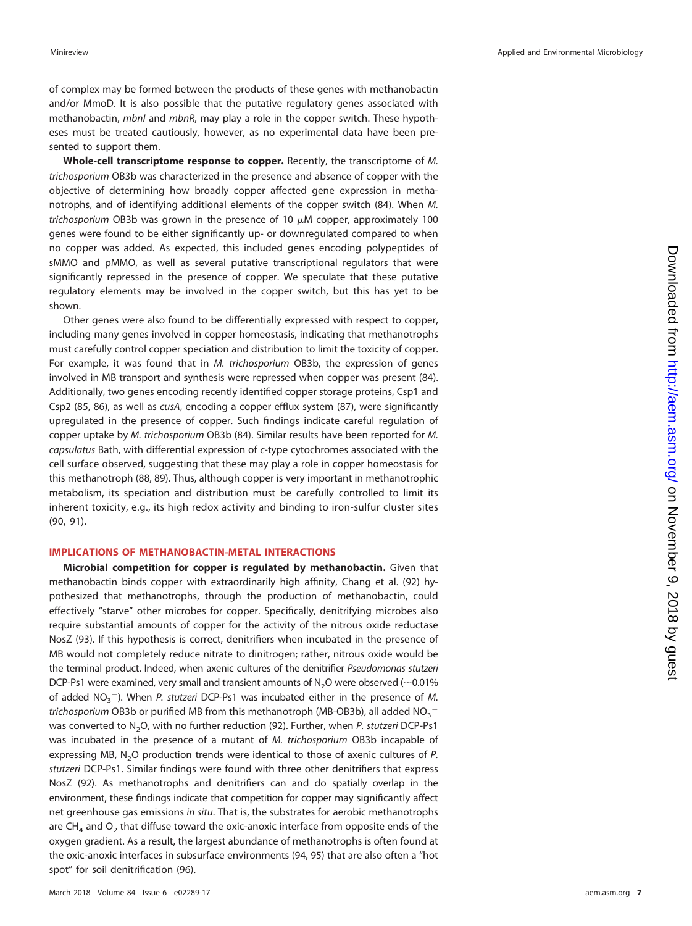of complex may be formed between the products of these genes with methanobactin and/or MmoD. It is also possible that the putative regulatory genes associated with methanobactin, mbnI and mbnR, may play a role in the copper switch. These hypotheses must be treated cautiously, however, as no experimental data have been presented to support them.

**Whole-cell transcriptome response to copper.** Recently, the transcriptome of M. trichosporium OB3b was characterized in the presence and absence of copper with the objective of determining how broadly copper affected gene expression in methanotrophs, and of identifying additional elements of the copper switch [\(84\)](#page-14-21). When M. trichosporium OB3b was grown in the presence of 10  $\mu$ M copper, approximately 100 genes were found to be either significantly up- or downregulated compared to when no copper was added. As expected, this included genes encoding polypeptides of sMMO and pMMO, as well as several putative transcriptional regulators that were significantly repressed in the presence of copper. We speculate that these putative regulatory elements may be involved in the copper switch, but this has yet to be shown.

Other genes were also found to be differentially expressed with respect to copper, including many genes involved in copper homeostasis, indicating that methanotrophs must carefully control copper speciation and distribution to limit the toxicity of copper. For example, it was found that in M. trichosporium OB3b, the expression of genes involved in MB transport and synthesis were repressed when copper was present [\(84\)](#page-14-21). Additionally, two genes encoding recently identified copper storage proteins, Csp1 and Csp2 [\(85,](#page-14-22) [86\)](#page-14-23), as well as cusA, encoding a copper efflux system [\(87\)](#page-14-24), were significantly upregulated in the presence of copper. Such findings indicate careful regulation of copper uptake by M. trichosporium OB3b [\(84\)](#page-14-21). Similar results have been reported for M. capsulatus Bath, with differential expression of c-type cytochromes associated with the cell surface observed, suggesting that these may play a role in copper homeostasis for this methanotroph [\(88,](#page-14-25) [89\)](#page-14-26). Thus, although copper is very important in methanotrophic metabolism, its speciation and distribution must be carefully controlled to limit its inherent toxicity, e.g., its high redox activity and binding to iron-sulfur cluster sites [\(90,](#page-14-27) [91\)](#page-14-28).

#### **IMPLICATIONS OF METHANOBACTIN-METAL INTERACTIONS**

**Microbial competition for copper is regulated by methanobactin.** Given that methanobactin binds copper with extraordinarily high affinity, Chang et al. [\(92\)](#page-14-29) hypothesized that methanotrophs, through the production of methanobactin, could effectively "starve" other microbes for copper. Specifically, denitrifying microbes also require substantial amounts of copper for the activity of the nitrous oxide reductase NosZ [\(93\)](#page-14-30). If this hypothesis is correct, denitrifiers when incubated in the presence of MB would not completely reduce nitrate to dinitrogen; rather, nitrous oxide would be the terminal product. Indeed, when axenic cultures of the denitrifier Pseudomonas stutzeri DCP-Ps1 were examined, very small and transient amounts of  $N_2O$  were observed (~0.01%) of added  $NO<sub>3</sub>$   $^-$ ). When P. stutzeri DCP-Ps1 was incubated either in the presence of M. trichosporium OB3b or purified MB from this methanotroph (MB-OB3b), all added NO $_3^{\rm -}$ was converted to N<sub>2</sub>O, with no further reduction [\(92\)](#page-14-29). Further, when P. stutzeri DCP-Ps1 was incubated in the presence of a mutant of M. trichosporium OB3b incapable of expressing MB,  $N_2O$  production trends were identical to those of axenic cultures of P. stutzeri DCP-Ps1. Similar findings were found with three other denitrifiers that express NosZ [\(92\)](#page-14-29). As methanotrophs and denitrifiers can and do spatially overlap in the environment, these findings indicate that competition for copper may significantly affect net greenhouse gas emissions in situ. That is, the substrates for aerobic methanotrophs are  $CH<sub>4</sub>$  and  $O<sub>2</sub>$  that diffuse toward the oxic-anoxic interface from opposite ends of the oxygen gradient. As a result, the largest abundance of methanotrophs is often found at the oxic-anoxic interfaces in subsurface environments [\(94,](#page-14-31) [95\)](#page-14-32) that are also often a "hot spot" for soil denitrification [\(96\)](#page-15-0).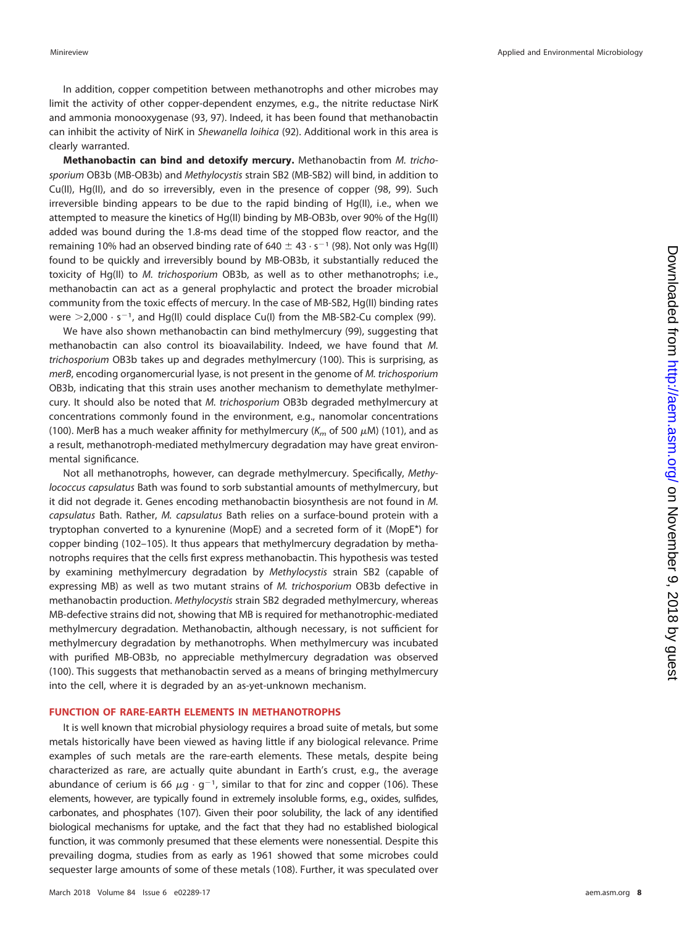In addition, copper competition between methanotrophs and other microbes may limit the activity of other copper-dependent enzymes, e.g., the nitrite reductase NirK and ammonia monooxygenase [\(93,](#page-14-30) [97\)](#page-15-1). Indeed, it has been found that methanobactin can inhibit the activity of NirK in Shewanella loihica [\(92\)](#page-14-29). Additional work in this area is clearly warranted.

**Methanobactin can bind and detoxify mercury.** Methanobactin from M. trichosporium OB3b (MB-OB3b) and Methylocystis strain SB2 (MB-SB2) will bind, in addition to Cu(II), Hg(II), and do so irreversibly, even in the presence of copper [\(98,](#page-15-2) [99\)](#page-15-3). Such irreversible binding appears to be due to the rapid binding of Hg(II), i.e., when we attempted to measure the kinetics of Hg(II) binding by MB-OB3b, over 90% of the Hg(II) added was bound during the 1.8-ms dead time of the stopped flow reactor, and the remaining 10% had an observed binding rate of 640  $\pm$  43  $\cdot$  s<sup>-1</sup> [\(98\)](#page-15-2). Not only was Hg(II) found to be quickly and irreversibly bound by MB-OB3b, it substantially reduced the toxicity of Hg(II) to M. trichosporium OB3b, as well as to other methanotrophs; i.e., methanobactin can act as a general prophylactic and protect the broader microbial community from the toxic effects of mercury. In the case of MB-SB2, Hg(II) binding rates were  $>$ 2,000  $\cdot$  s<sup>-1</sup>, and Hg(II) could displace Cu(I) from the MB-SB2-Cu complex [\(99\)](#page-15-3).

We have also shown methanobactin can bind methylmercury [\(99\)](#page-15-3), suggesting that methanobactin can also control its bioavailability. Indeed, we have found that M. trichosporium OB3b takes up and degrades methylmercury [\(100\)](#page-15-4). This is surprising, as merB, encoding organomercurial lyase, is not present in the genome of M. trichosporium OB3b, indicating that this strain uses another mechanism to demethylate methylmercury. It should also be noted that M. trichosporium OB3b degraded methylmercury at concentrations commonly found in the environment, e.g., nanomolar concentrations [\(100\)](#page-15-4). MerB has a much weaker affinity for methylmercury ( $\mathsf{K}_m$  of 500  $\mu$ M) [\(101\)](#page-15-5), and as a result, methanotroph-mediated methylmercury degradation may have great environmental significance.

Not all methanotrophs, however, can degrade methylmercury. Specifically, Methylococcus capsulatus Bath was found to sorb substantial amounts of methylmercury, but it did not degrade it. Genes encoding methanobactin biosynthesis are not found in M. capsulatus Bath. Rather, M. capsulatus Bath relies on a surface-bound protein with a tryptophan converted to a kynurenine (MopE) and a secreted form of it (MopE\*) for copper binding [\(102](#page-15-6)[–](#page-15-7)[105\)](#page-15-8). It thus appears that methylmercury degradation by methanotrophs requires that the cells first express methanobactin. This hypothesis was tested by examining methylmercury degradation by Methylocystis strain SB2 (capable of expressing MB) as well as two mutant strains of M. trichosporium OB3b defective in methanobactin production. Methylocystis strain SB2 degraded methylmercury, whereas MB-defective strains did not, showing that MB is required for methanotrophic-mediated methylmercury degradation. Methanobactin, although necessary, is not sufficient for methylmercury degradation by methanotrophs. When methylmercury was incubated with purified MB-OB3b, no appreciable methylmercury degradation was observed [\(100\)](#page-15-4). This suggests that methanobactin served as a means of bringing methylmercury into the cell, where it is degraded by an as-yet-unknown mechanism.

## **FUNCTION OF RARE-EARTH ELEMENTS IN METHANOTROPHS**

It is well known that microbial physiology requires a broad suite of metals, but some metals historically have been viewed as having little if any biological relevance. Prime examples of such metals are the rare-earth elements. These metals, despite being characterized as rare, are actually quite abundant in Earth's crust, e.g., the average abundance of cerium is 66  $\mu$ g · g<sup>-1</sup>, similar to that for zinc and copper [\(106\)](#page-15-9). These elements, however, are typically found in extremely insoluble forms, e.g., oxides, sulfides, carbonates, and phosphates [\(107\)](#page-15-10). Given their poor solubility, the lack of any identified biological mechanisms for uptake, and the fact that they had no established biological function, it was commonly presumed that these elements were nonessential. Despite this prevailing dogma, studies from as early as 1961 showed that some microbes could sequester large amounts of some of these metals [\(108\)](#page-15-11). Further, it was speculated over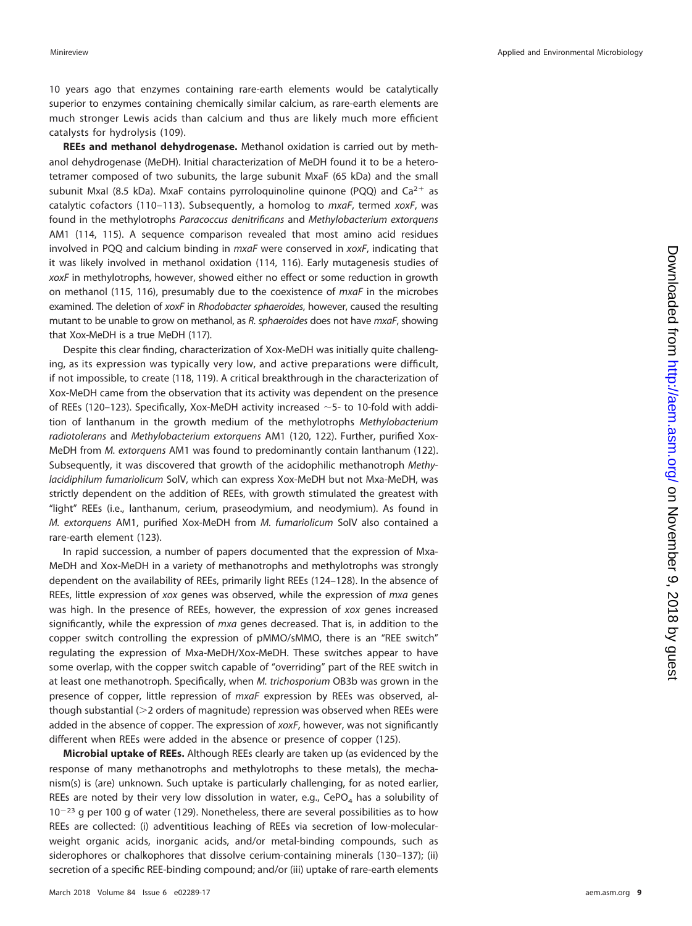10 years ago that enzymes containing rare-earth elements would be catalytically superior to enzymes containing chemically similar calcium, as rare-earth elements are much stronger Lewis acids than calcium and thus are likely much more efficient catalysts for hydrolysis [\(109\)](#page-15-12).

**REEs and methanol dehydrogenase.** Methanol oxidation is carried out by methanol dehydrogenase (MeDH). Initial characterization of MeDH found it to be a heterotetramer composed of two subunits, the large subunit MxaF (65 kDa) and the small subunit Mxal (8.5 kDa). MxaF contains pyrroloquinoline quinone (PQQ) and  $Ca^{2+}$  as catalytic cofactors [\(110](#page-15-13)[–](#page-15-14)[113\)](#page-15-15). Subsequently, a homolog to  $mxaF$ , termed xoxF, was found in the methylotrophs Paracoccus denitrificans and Methylobacterium extorquens AM1 [\(114,](#page-15-16) [115\)](#page-15-17). A sequence comparison revealed that most amino acid residues involved in PQQ and calcium binding in mxaF were conserved in xoxF, indicating that it was likely involved in methanol oxidation [\(114,](#page-15-16) [116\)](#page-15-18). Early mutagenesis studies of xoxF in methylotrophs, however, showed either no effect or some reduction in growth on methanol [\(115,](#page-15-17) [116\)](#page-15-18), presumably due to the coexistence of  $mxaF$  in the microbes examined. The deletion of xoxF in Rhodobacter sphaeroides, however, caused the resulting mutant to be unable to grow on methanol, as  $R$ . sphaeroides does not have  $mxaF$ , showing that Xox-MeDH is a true MeDH [\(117\)](#page-15-19).

Despite this clear finding, characterization of Xox-MeDH was initially quite challenging, as its expression was typically very low, and active preparations were difficult, if not impossible, to create [\(118,](#page-15-20) [119\)](#page-15-21). A critical breakthrough in the characterization of Xox-MeDH came from the observation that its activity was dependent on the presence of REEs [\(120](#page-15-22)[–](#page-15-23)[123\)](#page-15-24). Specifically, Xox-MeDH activity increased  $\sim$  5- to 10-fold with addition of lanthanum in the growth medium of the methylotrophs Methylobacterium radiotolerans and Methylobacterium extorquens AM1 [\(120,](#page-15-22) [122\)](#page-15-23). Further, purified Xox-MeDH from M. extorquens AM1 was found to predominantly contain lanthanum [\(122\)](#page-15-23). Subsequently, it was discovered that growth of the acidophilic methanotroph Methylacidiphilum fumariolicum SolV, which can express Xox-MeDH but not Mxa-MeDH, was strictly dependent on the addition of REEs, with growth stimulated the greatest with "light" REEs (i.e., lanthanum, cerium, praseodymium, and neodymium). As found in M. extorquens AM1, purified Xox-MeDH from M. fumariolicum SolV also contained a rare-earth element [\(123\)](#page-15-24).

In rapid succession, a number of papers documented that the expression of Mxa-MeDH and Xox-MeDH in a variety of methanotrophs and methylotrophs was strongly dependent on the availability of REEs, primarily light REEs [\(124](#page-15-25)[–](#page-15-26)[128\)](#page-15-27). In the absence of REEs, little expression of xox genes was observed, while the expression of mxa genes was high. In the presence of REEs, however, the expression of xox genes increased significantly, while the expression of mxa genes decreased. That is, in addition to the copper switch controlling the expression of pMMO/sMMO, there is an "REE switch" regulating the expression of Mxa-MeDH/Xox-MeDH. These switches appear to have some overlap, with the copper switch capable of "overriding" part of the REE switch in at least one methanotroph. Specifically, when M. trichosporium OB3b was grown in the presence of copper, little repression of mxaF expression by REEs was observed, although substantial (>2 orders of magnitude) repression was observed when REEs were added in the absence of copper. The expression of xoxF, however, was not significantly different when REEs were added in the absence or presence of copper [\(125\)](#page-15-28).

**Microbial uptake of REEs.** Although REEs clearly are taken up (as evidenced by the response of many methanotrophs and methylotrophs to these metals), the mechanism(s) is (are) unknown. Such uptake is particularly challenging, for as noted earlier, REEs are noted by their very low dissolution in water, e.g., CePO<sub>4</sub> has a solubility of  $10^{-23}$  g per 100 g of water [\(129\)](#page-15-29). Nonetheless, there are several possibilities as to how REEs are collected: (i) adventitious leaching of REEs via secretion of low-molecularweight organic acids, inorganic acids, and/or metal-binding compounds, such as siderophores or chalkophores that dissolve cerium-containing minerals [\(130](#page-15-30)[–](#page-15-31)[137\)](#page-15-32); (ii) secretion of a specific REE-binding compound; and/or (iii) uptake of rare-earth elements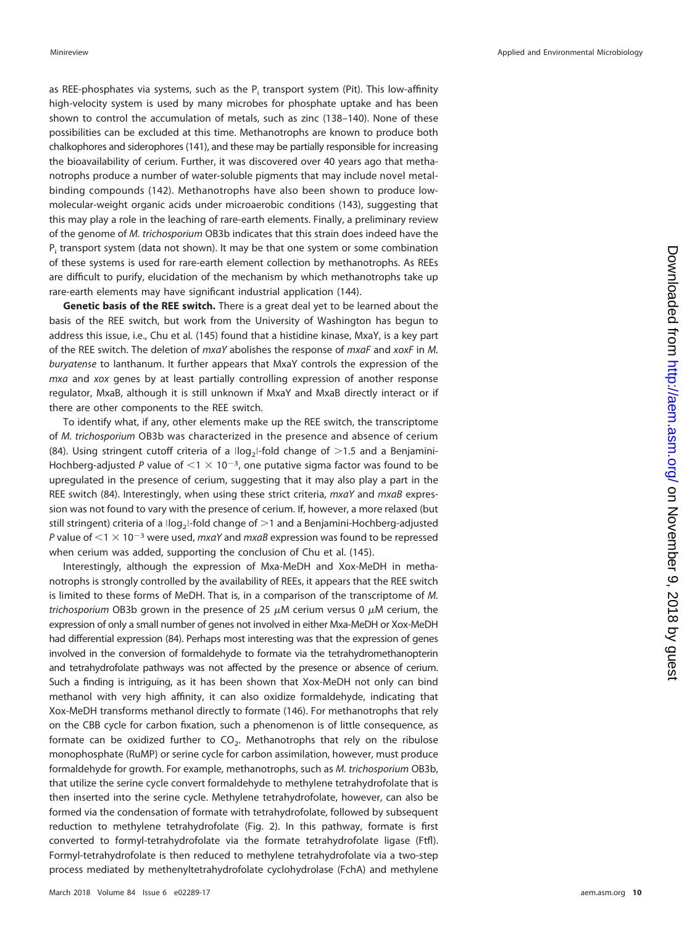as REE-phosphates via systems, such as the  $P_i$  transport system (Pit). This low-affinity high-velocity system is used by many microbes for phosphate uptake and has been shown to control the accumulation of metals, such as zinc [\(138](#page-16-4)[–](#page-16-5)[140\)](#page-16-6). None of these possibilities can be excluded at this time. Methanotrophs are known to produce both chalkophores and siderophores [\(141\)](#page-16-7), and these may be partially responsible for increasing the bioavailability of cerium. Further, it was discovered over 40 years ago that methanotrophs produce a number of water-soluble pigments that may include novel metalbinding compounds [\(142\)](#page-16-8). Methanotrophs have also been shown to produce lowmolecular-weight organic acids under microaerobic conditions [\(143\)](#page-16-9), suggesting that this may play a role in the leaching of rare-earth elements. Finally, a preliminary review of the genome of M. trichosporium OB3b indicates that this strain does indeed have the  $P_i$  transport system (data not shown). It may be that one system or some combination of these systems is used for rare-earth element collection by methanotrophs. As REEs are difficult to purify, elucidation of the mechanism by which methanotrophs take up rare-earth elements may have significant industrial application [\(144\)](#page-16-10).

**Genetic basis of the REE switch.** There is a great deal yet to be learned about the basis of the REE switch, but work from the University of Washington has begun to address this issue, i.e., Chu et al. [\(145\)](#page-16-11) found that a histidine kinase, MxaY, is a key part of the REE switch. The deletion of  $mxaY$  abolishes the response of  $mxaF$  and  $xoxF$  in M. buryatense to lanthanum. It further appears that MxaY controls the expression of the mxa and xox genes by at least partially controlling expression of another response regulator, MxaB, although it is still unknown if MxaY and MxaB directly interact or if there are other components to the REE switch.

To identify what, if any, other elements make up the REE switch, the transcriptome of M. trichosporium OB3b was characterized in the presence and absence of cerium [\(84\)](#page-14-21). Using stringent cutoff criteria of a  $\log_2$ I-fold change of  $>1.5$  and a Benjamini-Hochberg-adjusted P value of  $\leq 1 \times 10^{-3}$ , one putative sigma factor was found to be upregulated in the presence of cerium, suggesting that it may also play a part in the REE switch [\(84\)](#page-14-21). Interestingly, when using these strict criteria, mxaY and mxaB expression was not found to vary with the presence of cerium. If, however, a more relaxed (but still stringent) criteria of a  $\log_2$ -fold change of  $>$ 1 and a Benjamini-Hochberg-adjusted P value of  $\leq 1 \times 10^{-3}$  were used, mxaY and mxaB expression was found to be repressed when cerium was added, supporting the conclusion of Chu et al. [\(145\)](#page-16-11).

Interestingly, although the expression of Mxa-MeDH and Xox-MeDH in methanotrophs is strongly controlled by the availability of REEs, it appears that the REE switch is limited to these forms of MeDH. That is, in a comparison of the transcriptome of M. *trichosporium* OB3b grown in the presence of 25  $\mu$ M cerium versus 0  $\mu$ M cerium, the expression of only a small number of genes not involved in either Mxa-MeDH or Xox-MeDH had differential expression [\(84\)](#page-14-21). Perhaps most interesting was that the expression of genes involved in the conversion of formaldehyde to formate via the tetrahydromethanopterin and tetrahydrofolate pathways was not affected by the presence or absence of cerium. Such a finding is intriguing, as it has been shown that Xox-MeDH not only can bind methanol with very high affinity, it can also oxidize formaldehyde, indicating that Xox-MeDH transforms methanol directly to formate [\(146\)](#page-16-12). For methanotrophs that rely on the CBB cycle for carbon fixation, such a phenomenon is of little consequence, as formate can be oxidized further to  $CO<sub>2</sub>$ . Methanotrophs that rely on the ribulose monophosphate (RuMP) or serine cycle for carbon assimilation, however, must produce formaldehyde for growth. For example, methanotrophs, such as M. trichosporium OB3b, that utilize the serine cycle convert formaldehyde to methylene tetrahydrofolate that is then inserted into the serine cycle. Methylene tetrahydrofolate, however, can also be formed via the condensation of formate with tetrahydrofolate, followed by subsequent reduction to methylene tetrahydrofolate [\(Fig. 2\)](#page-2-0). In this pathway, formate is first converted to formyl-tetrahydrofolate via the formate tetrahydrofolate ligase (Ftfl). Formyl-tetrahydrofolate is then reduced to methylene tetrahydrofolate via a two-step process mediated by methenyltetrahydrofolate cyclohydrolase (FchA) and methylene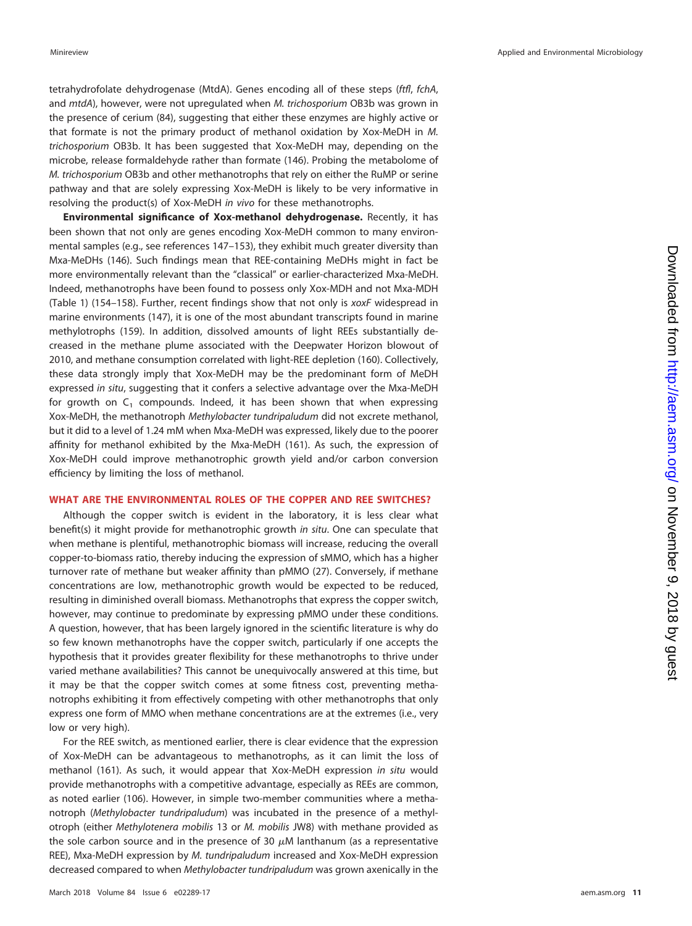tetrahydrofolate dehydrogenase (MtdA). Genes encoding all of these steps (ftfl, fchA, and *mtdA*), however, were not upregulated when *M. trichosporium* OB3b was grown in the presence of cerium [\(84\)](#page-14-21), suggesting that either these enzymes are highly active or that formate is not the primary product of methanol oxidation by Xox-MeDH in M. trichosporium OB3b. It has been suggested that Xox-MeDH may, depending on the microbe, release formaldehyde rather than formate [\(146\)](#page-16-12). Probing the metabolome of M. trichosporium OB3b and other methanotrophs that rely on either the RuMP or serine pathway and that are solely expressing Xox-MeDH is likely to be very informative in resolving the product(s) of Xox-MeDH in vivo for these methanotrophs.

**Environmental significance of Xox-methanol dehydrogenase.** Recently, it has been shown that not only are genes encoding Xox-MeDH common to many environmental samples (e.g., see references [147](#page-16-13)[–](#page-16-14)[153\)](#page-16-15), they exhibit much greater diversity than Mxa-MeDHs [\(146\)](#page-16-12). Such findings mean that REE-containing MeDHs might in fact be more environmentally relevant than the "classical" or earlier-characterized Mxa-MeDH. Indeed, methanotrophs have been found to possess only Xox-MDH and not Mxa-MDH [\(Table 1\)](#page-2-1) [\(154](#page-16-16)[–](#page-16-17)[158\)](#page-16-18). Further, recent findings show that not only is xoxF widespread in marine environments [\(147\)](#page-16-13), it is one of the most abundant transcripts found in marine methylotrophs [\(159\)](#page-16-19). In addition, dissolved amounts of light REEs substantially decreased in the methane plume associated with the Deepwater Horizon blowout of 2010, and methane consumption correlated with light-REE depletion [\(160\)](#page-16-20). Collectively, these data strongly imply that Xox-MeDH may be the predominant form of MeDH expressed in situ, suggesting that it confers a selective advantage over the Mxa-MeDH for growth on  $C_1$  compounds. Indeed, it has been shown that when expressing Xox-MeDH, the methanotroph Methylobacter tundripaludum did not excrete methanol, but it did to a level of 1.24 mM when Mxa-MeDH was expressed, likely due to the poorer affinity for methanol exhibited by the Mxa-MeDH [\(161\)](#page-16-21). As such, the expression of Xox-MeDH could improve methanotrophic growth yield and/or carbon conversion efficiency by limiting the loss of methanol.

## **WHAT ARE THE ENVIRONMENTAL ROLES OF THE COPPER AND REE SWITCHES?**

Although the copper switch is evident in the laboratory, it is less clear what benefit(s) it might provide for methanotrophic growth in situ. One can speculate that when methane is plentiful, methanotrophic biomass will increase, reducing the overall copper-to-biomass ratio, thereby inducing the expression of sMMO, which has a higher turnover rate of methane but weaker affinity than pMMO [\(27\)](#page-13-3). Conversely, if methane concentrations are low, methanotrophic growth would be expected to be reduced, resulting in diminished overall biomass. Methanotrophs that express the copper switch, however, may continue to predominate by expressing pMMO under these conditions. A question, however, that has been largely ignored in the scientific literature is why do so few known methanotrophs have the copper switch, particularly if one accepts the hypothesis that it provides greater flexibility for these methanotrophs to thrive under varied methane availabilities? This cannot be unequivocally answered at this time, but it may be that the copper switch comes at some fitness cost, preventing methanotrophs exhibiting it from effectively competing with other methanotrophs that only express one form of MMO when methane concentrations are at the extremes (i.e., very low or very high).

For the REE switch, as mentioned earlier, there is clear evidence that the expression of Xox-MeDH can be advantageous to methanotrophs, as it can limit the loss of methanol [\(161\)](#page-16-21). As such, it would appear that Xox-MeDH expression in situ would provide methanotrophs with a competitive advantage, especially as REEs are common, as noted earlier [\(106\)](#page-15-9). However, in simple two-member communities where a methanotroph (Methylobacter tundripaludum) was incubated in the presence of a methylotroph (either Methylotenera mobilis 13 or M. mobilis JW8) with methane provided as the sole carbon source and in the presence of 30  $\mu$ M lanthanum (as a representative REE), Mxa-MeDH expression by M. tundripaludum increased and Xox-MeDH expression decreased compared to when Methylobacter tundripaludum was grown axenically in the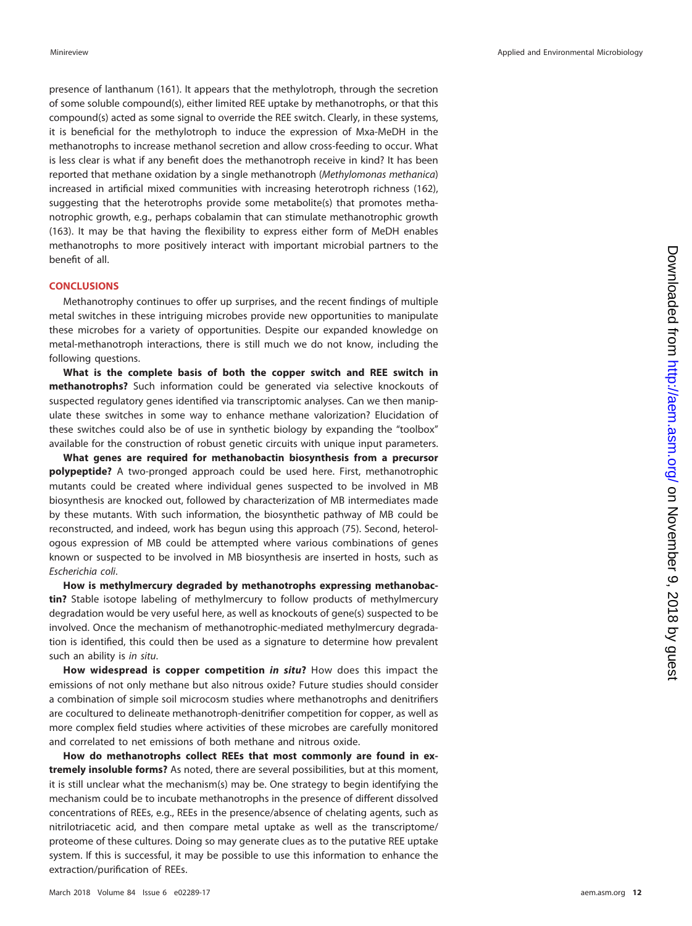presence of lanthanum [\(161\)](#page-16-21). It appears that the methylotroph, through the secretion of some soluble compound(s), either limited REE uptake by methanotrophs, or that this compound(s) acted as some signal to override the REE switch. Clearly, in these systems, it is beneficial for the methylotroph to induce the expression of Mxa-MeDH in the methanotrophs to increase methanol secretion and allow cross-feeding to occur. What is less clear is what if any benefit does the methanotroph receive in kind? It has been reported that methane oxidation by a single methanotroph (Methylomonas methanica) increased in artificial mixed communities with increasing heterotroph richness [\(162\)](#page-16-22), suggesting that the heterotrophs provide some metabolite(s) that promotes methanotrophic growth, e.g., perhaps cobalamin that can stimulate methanotrophic growth [\(163\)](#page-16-23). It may be that having the flexibility to express either form of MeDH enables methanotrophs to more positively interact with important microbial partners to the benefit of all.

## **CONCLUSIONS**

Methanotrophy continues to offer up surprises, and the recent findings of multiple metal switches in these intriguing microbes provide new opportunities to manipulate these microbes for a variety of opportunities. Despite our expanded knowledge on metal-methanotroph interactions, there is still much we do not know, including the following questions.

**What is the complete basis of both the copper switch and REE switch in methanotrophs?** Such information could be generated via selective knockouts of suspected regulatory genes identified via transcriptomic analyses. Can we then manipulate these switches in some way to enhance methane valorization? Elucidation of these switches could also be of use in synthetic biology by expanding the "toolbox" available for the construction of robust genetic circuits with unique input parameters.

**What genes are required for methanobactin biosynthesis from a precursor polypeptide?** A two-pronged approach could be used here. First, methanotrophic mutants could be created where individual genes suspected to be involved in MB biosynthesis are knocked out, followed by characterization of MB intermediates made by these mutants. With such information, the biosynthetic pathway of MB could be reconstructed, and indeed, work has begun using this approach [\(75\)](#page-14-14). Second, heterologous expression of MB could be attempted where various combinations of genes known or suspected to be involved in MB biosynthesis are inserted in hosts, such as Escherichia coli.

**How is methylmercury degraded by methanotrophs expressing methanobactin?** Stable isotope labeling of methylmercury to follow products of methylmercury degradation would be very useful here, as well as knockouts of gene(s) suspected to be involved. Once the mechanism of methanotrophic-mediated methylmercury degradation is identified, this could then be used as a signature to determine how prevalent such an ability is in situ.

**How widespread is copper competition** *in situ***?** How does this impact the emissions of not only methane but also nitrous oxide? Future studies should consider a combination of simple soil microcosm studies where methanotrophs and denitrifiers are cocultured to delineate methanotroph-denitrifier competition for copper, as well as more complex field studies where activities of these microbes are carefully monitored and correlated to net emissions of both methane and nitrous oxide.

**How do methanotrophs collect REEs that most commonly are found in extremely insoluble forms?** As noted, there are several possibilities, but at this moment, it is still unclear what the mechanism(s) may be. One strategy to begin identifying the mechanism could be to incubate methanotrophs in the presence of different dissolved concentrations of REEs, e.g., REEs in the presence/absence of chelating agents, such as nitrilotriacetic acid, and then compare metal uptake as well as the transcriptome/ proteome of these cultures. Doing so may generate clues as to the putative REE uptake system. If this is successful, it may be possible to use this information to enhance the extraction/purification of REEs.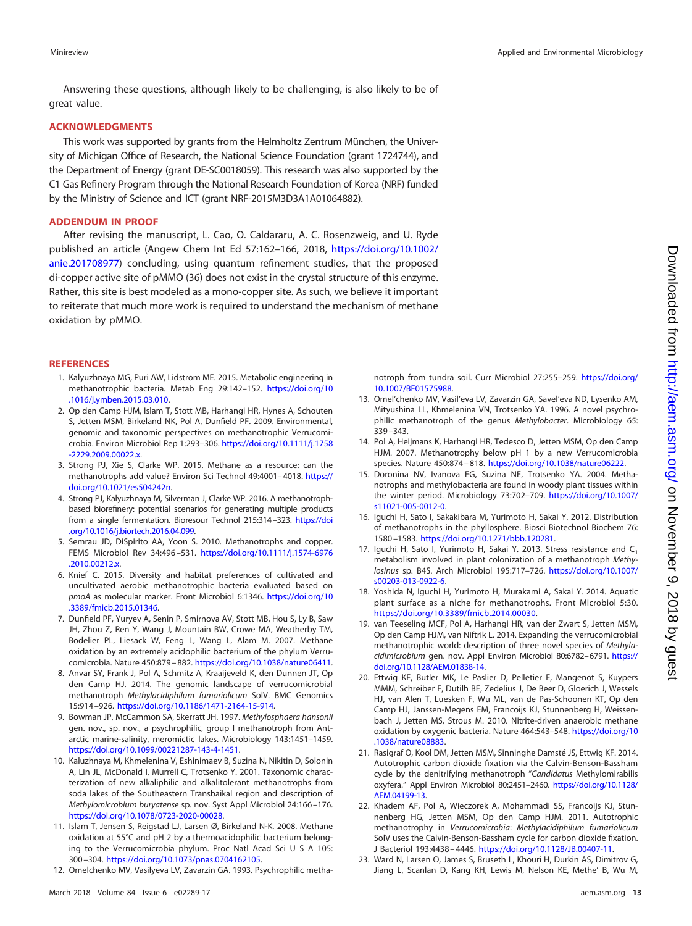Answering these questions, although likely to be challenging, is also likely to be of great value.

### **ACKNOWLEDGMENTS**

This work was supported by grants from the Helmholtz Zentrum München, the University of Michigan Office of Research, the National Science Foundation (grant 1724744), and the Department of Energy (grant DE-SC0018059). This research was also supported by the C1 Gas Refinery Program through the National Research Foundation of Korea (NRF) funded by the Ministry of Science and ICT (grant NRF-2015M3D3A1A01064882).

### **ADDENDUM IN PROOF**

After revising the manuscript, L. Cao, O. Caldararu, A. C. Rosenzweig, and U. Ryde published an article (Angew Chem Int Ed 57:162–166, 2018, [https://doi.org/10.1002/](https://doi.org/10.1002/anie.201708977) [anie.201708977\)](https://doi.org/10.1002/anie.201708977) concluding, using quantum refinement studies, that the proposed di-copper active site of pMMO [\(36\)](#page-13-11) does not exist in the crystal structure of this enzyme. Rather, this site is best modeled as a mono-copper site. As such, we believe it important to reiterate that much more work is required to understand the mechanism of methane oxidation by pMMO.

#### <span id="page-12-0"></span>**REFERENCES**

- 1. Kalyuzhnaya MG, Puri AW, Lidstrom ME. 2015. Metabolic engineering in methanotrophic bacteria. Metab Eng 29:142–152. [https://doi.org/10](https://doi.org/10.1016/j.ymben.2015.03.010) [.1016/j.ymben.2015.03.010.](https://doi.org/10.1016/j.ymben.2015.03.010)
- <span id="page-12-4"></span>2. Op den Camp HJM, Islam T, Stott MB, Harhangi HR, Hynes A, Schouten S, Jetten MSM, Birkeland NK, Pol A, Dunfield PF. 2009. Environmental, genomic and taxonomic perspectives on methanotrophic Verrucomicrobia. Environ Microbiol Rep 1:293–306. [https://doi.org/10.1111/j.1758](https://doi.org/10.1111/j.1758-2229.2009.00022.x) [-2229.2009.00022.x.](https://doi.org/10.1111/j.1758-2229.2009.00022.x)
- 3. Strong PJ, Xie S, Clarke WP. 2015. Methane as a resource: can the methanotrophs add value? Environ Sci Technol 49:4001– 4018. [https://](https://doi.org/10.1021/es504242n) [doi.org/10.1021/es504242n.](https://doi.org/10.1021/es504242n)
- <span id="page-12-1"></span>4. Strong PJ, Kalyuzhnaya M, Silverman J, Clarke WP. 2016. A methanotrophbased biorefinery: potential scenarios for generating multiple products from a single fermentation. Bioresour Technol 215:314 –323. [https://doi](https://doi.org/10.1016/j.biortech.2016.04.099) [.org/10.1016/j.biortech.2016.04.099.](https://doi.org/10.1016/j.biortech.2016.04.099)
- <span id="page-12-3"></span><span id="page-12-2"></span>5. Semrau JD, DiSpirito AA, Yoon S. 2010. Methanotrophs and copper. FEMS Microbiol Rev 34:496 –531. [https://doi.org/10.1111/j.1574-6976](https://doi.org/10.1111/j.1574-6976.2010.00212.x) [.2010.00212.x.](https://doi.org/10.1111/j.1574-6976.2010.00212.x)
- 6. Knief C. 2015. Diversity and habitat preferences of cultivated and uncultivated aerobic methanotrophic bacteria evaluated based on pmoA as molecular marker. Front Microbiol 6:1346. [https://doi.org/10](https://doi.org/10.3389/fmicb.2015.01346) [.3389/fmicb.2015.01346.](https://doi.org/10.3389/fmicb.2015.01346)
- <span id="page-12-5"></span>7. Dunfield PF, Yuryev A, Senin P, Smirnova AV, Stott MB, Hou S, Ly B, Saw JH, Zhou Z, Ren Y, Wang J, Mountain BW, Crowe MA, Weatherby TM, Bodelier PL, Liesack W, Feng L, Wang L, Alam M. 2007. Methane oxidation by an extremely acidophilic bacterium of the phylum Verrucomicrobia. Nature 450:879 – 882. [https://doi.org/10.1038/nature06411.](https://doi.org/10.1038/nature06411)
- <span id="page-12-11"></span>8. Anvar SY, Frank J, Pol A, Schmitz A, Kraaijeveld K, den Dunnen JT, Op den Camp HJ. 2014. The genomic landscape of verrucomicrobial methanotroph Methylacidiphilum fumariolicum SolV. BMC Genomics 15:914 –926. [https://doi.org/10.1186/1471-2164-15-914.](https://doi.org/10.1186/1471-2164-15-914)
- 9. Bowman JP, McCammon SA, Skerratt JH. 1997. Methylosphaera hansonii gen. nov., sp. nov., a psychrophilic, group I methanotroph from Antarctic marine-salinity, meromictic lakes. Microbiology 143:1451–1459. [https://doi.org/10.1099/00221287-143-4-1451.](https://doi.org/10.1099/00221287-143-4-1451)
- 10. Kaluzhnaya M, Khmelenina V, Eshinimaev B, Suzina N, Nikitin D, Solonin A, Lin JL, McDonald I, Murrell C, Trotsenko Y. 2001. Taxonomic characterization of new alkaliphilic and alkalitolerant methanotrophs from soda lakes of the Southeastern Transbaikal region and description of Methylomicrobium buryatense sp. nov. Syst Appl Microbiol 24:166 –176. [https://doi.org/10.1078/0723-2020-00028.](https://doi.org/10.1078/0723-2020-00028)
- <span id="page-12-12"></span>11. Islam T, Jensen S, Reigstad LJ, Larsen Ø, Birkeland N-K. 2008. Methane oxidation at 55°C and pH 2 by a thermoacidophilic bacterium belonging to the Verrucomicrobia phylum. Proc Natl Acad Sci U S A 105: 300 –304. [https://doi.org/10.1073/pnas.0704162105.](https://doi.org/10.1073/pnas.0704162105)
- 12. Omelchenko MV, Vasilyeva LV, Zavarzin GA. 1993. Psychrophilic metha-

notroph from tundra soil. Curr Microbiol 27:255–259. [https://doi.org/](https://doi.org/10.1007/BF01575988) [10.1007/BF01575988.](https://doi.org/10.1007/BF01575988)

- <span id="page-12-6"></span>13. Omel'chenko MV, Vasil'eva LV, Zavarzin GA, Savel'eva ND, Lysenko AM, Mityushina LL, Khmelenina VN, Trotsenko YA. 1996. A novel psychrophilic methanotroph of the genus Methylobacter. Microbiology 65: 339 –343.
- <span id="page-12-7"></span>14. Pol A, Heijmans K, Harhangi HR, Tedesco D, Jetten MSM, Op den Camp HJM. 2007. Methanotrophy below pH 1 by a new Verrucomicrobia species. Nature 450:874 – 818. [https://doi.org/10.1038/nature06222.](https://doi.org/10.1038/nature06222)
- <span id="page-12-8"></span>15. Doronina NV, Ivanova EG, Suzina NE, Trotsenko YA. 2004. Methanotrophs and methylobacteria are found in woody plant tissues within the winter period. Microbiology 73:702–709. [https://doi.org/10.1007/](https://doi.org/10.1007/s11021-005-0012-0) [s11021-005-0012-0.](https://doi.org/10.1007/s11021-005-0012-0)
- 16. Iguchi H, Sato I, Sakakibara M, Yurimoto H, Sakai Y. 2012. Distribution of methanotrophs in the phyllosphere. Biosci Biotechnol Biochem 76: 1580 –1583. [https://doi.org/10.1271/bbb.120281.](https://doi.org/10.1271/bbb.120281)
- <span id="page-12-9"></span>17. Iguchi H, Sato I, Yurimoto H, Sakai Y. 2013. Stress resistance and C<sub>1</sub> metabolism involved in plant colonization of a methanotroph Methylosinus sp. B4S. Arch Microbiol 195:717–726. [https://doi.org/10.1007/](https://doi.org/10.1007/s00203-013-0922-6) [s00203-013-0922-6.](https://doi.org/10.1007/s00203-013-0922-6)
- <span id="page-12-13"></span><span id="page-12-10"></span>18. Yoshida N, Iguchi H, Yurimoto H, Murakami A, Sakai Y. 2014. Aquatic plant surface as a niche for methanotrophs. Front Microbiol 5:30. [https://doi.org/10.3389/fmicb.2014.00030.](https://doi.org/10.3389/fmicb.2014.00030)
- 19. van Teeseling MCF, Pol A, Harhangi HR, van der Zwart S, Jetten MSM, Op den Camp HJM, van Niftrik L. 2014. Expanding the verrucomicrobial methanotrophic world: description of three novel species of Methylacidimicrobium gen. nov. Appl Environ Microbiol 80:6782-6791. [https://](https://doi.org/10.1128/AEM.01838-14) [doi.org/10.1128/AEM.01838-14.](https://doi.org/10.1128/AEM.01838-14)
- <span id="page-12-14"></span>20. Ettwig KF, Butler MK, Le Paslier D, Pelletier E, Mangenot S, Kuypers MMM, Schreiber F, Dutilh BE, Zedelius J, De Beer D, Gloerich J, Wessels HJ, van Alen T, Luesken F, Wu ML, van de Pas-Schoonen KT, Op den Camp HJ, Janssen-Megens EM, Francoijs KJ, Stunnenberg H, Weissenbach J, Jetten MS, Strous M. 2010. Nitrite-driven anaerobic methane oxidation by oxygenic bacteria. Nature 464:543–548. [https://doi.org/10](https://doi.org/10.1038/nature08883) [.1038/nature08883.](https://doi.org/10.1038/nature08883)
- <span id="page-12-15"></span>21. Rasigraf O, Kool DM, Jetten MSM, Sinninghe Damsté JS, Ettwig KF. 2014. Autotrophic carbon dioxide fixation via the Calvin-Benson-Bassham cycle by the denitrifying methanotroph "Candidatus Methylomirabilis oxyfera." Appl Environ Microbiol 80:2451–2460. [https://doi.org/10.1128/](https://doi.org/10.1128/AEM.04199-13) [AEM.04199-13.](https://doi.org/10.1128/AEM.04199-13)
- <span id="page-12-16"></span>22. Khadem AF, Pol A, Wieczorek A, Mohammadi SS, Francoijs KJ, Stunnenberg HG, Jetten MSM, Op den Camp HJM. 2011. Autotrophic methanotrophy in Verrucomicrobia: Methylacidiphilum fumariolicum SolV uses the Calvin-Benson-Bassham cycle for carbon dioxide fixation. J Bacteriol 193:4438 – 4446. [https://doi.org/10.1128/JB.00407-11.](https://doi.org/10.1128/JB.00407-11)
- <span id="page-12-17"></span>23. Ward N, Larsen O, James S, Bruseth L, Khouri H, Durkin AS, Dimitrov G, Jiang L, Scanlan D, Kang KH, Lewis M, Nelson KE, Methe' B, Wu M,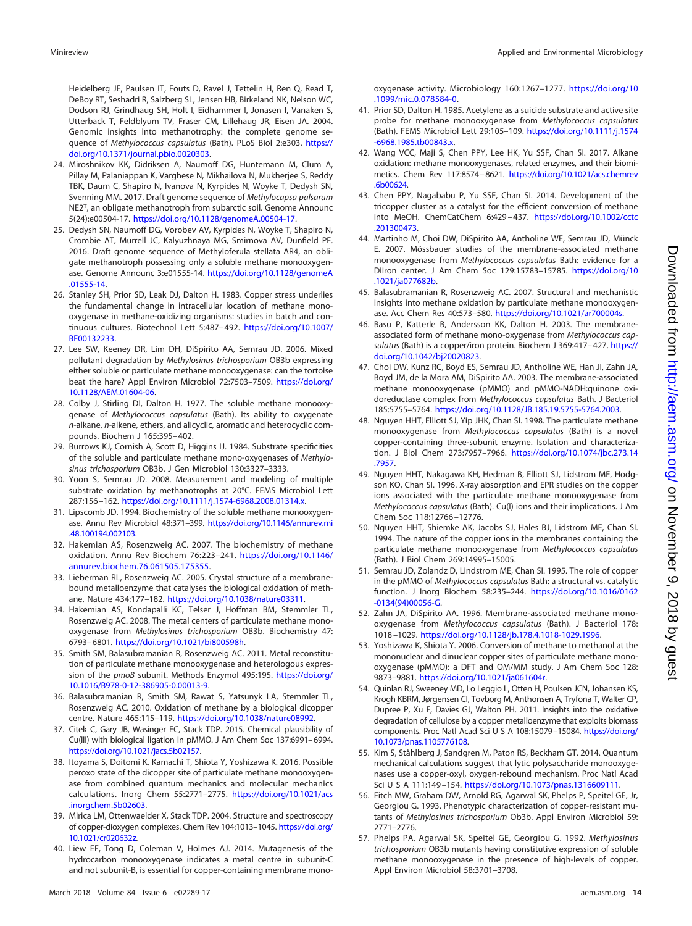Heidelberg JE, Paulsen IT, Fouts D, Ravel J, Tettelin H, Ren Q, Read T, DeBoy RT, Seshadri R, Salzberg SL, Jensen HB, Birkeland NK, Nelson WC, Dodson RJ, Grindhaug SH, Holt I, Eidhammer I, Jonasen I, Vanaken S, Utterback T, Feldblyum TV, Fraser CM, Lillehaug JR, Eisen JA. 2004. Genomic insights into methanotrophy: the complete genome sequence of Methylococcus capsulatus (Bath). PLoS Biol 2:e303. [https://](https://doi.org/10.1371/journal.pbio.0020303) [doi.org/10.1371/journal.pbio.0020303.](https://doi.org/10.1371/journal.pbio.0020303)

- <span id="page-13-0"></span>24. Miroshnikov KK, Didriksen A, Naumoff DG, Huntemann M, Clum A, Pillay M, Palaniappan K, Varghese N, Mikhailova N, Mukherjee S, Reddy TBK, Daum C, Shapiro N, Ivanova N, Kyrpides N, Woyke T, Dedysh SN, Svenning MM. 2017. Draft genome sequence of Methylocapsa palsarum NE2T, an obligate methanotroph from subarctic soil. Genome Announc 5(24):e00504-17. [https://doi.org/10.1128/genomeA.00504-17.](https://doi.org/10.1128/genomeA.00504-17)
- <span id="page-13-1"></span>25. Dedysh SN, Naumoff DG, Vorobev AV, Kyrpides N, Woyke T, Shapiro N, Crombie AT, Murrell JC, Kalyuzhnaya MG, Smirnova AV, Dunfield PF. 2016. Draft genome sequence of Methyloferula stellata AR4, an obligate methanotroph possessing only a soluble methane monooxygenase. Genome Announc 3:e01555-14. [https://doi.org/10.1128/genomeA](https://doi.org/10.1128/genomeA.01555-14) [.01555-14.](https://doi.org/10.1128/genomeA.01555-14)
- <span id="page-13-2"></span>26. Stanley SH, Prior SD, Leak DJ, Dalton H. 1983. Copper stress underlies the fundamental change in intracellular location of methane monooxygenase in methane-oxidizing organisms: studies in batch and continuous cultures. Biotechnol Lett 5:487– 492. [https://doi.org/10.1007/](https://doi.org/10.1007/BF00132233) [BF00132233.](https://doi.org/10.1007/BF00132233)
- <span id="page-13-3"></span>27. Lee SW, Keeney DR, Lim DH, DiSpirito AA, Semrau JD. 2006. Mixed pollutant degradation by Methylosinus trichosporium OB3b expressing either soluble or particulate methane monooxygenase: can the tortoise beat the hare? Appl Environ Microbiol 72:7503–7509. [https://doi.org/](https://doi.org/10.1128/AEM.01604-06) [10.1128/AEM.01604-06.](https://doi.org/10.1128/AEM.01604-06)
- <span id="page-13-4"></span>28. Colby J, Stirling DI, Dalton H. 1977. The soluble methane monooxygenase of Methylococcus capsulatus (Bath). Its ability to oxygenate n-alkane, n-alkene, ethers, and alicyclic, aromatic and heterocyclic compounds. Biochem J 165:395– 402.
- <span id="page-13-5"></span>29. Burrows KJ, Cornish A, Scott D, Higgins IJ. 1984. Substrate specificities of the soluble and particulate methane mono-oxygenases of Methylosinus trichosporium OB3b. J Gen Microbiol 130:3327–3333.
- <span id="page-13-6"></span>30. Yoon S, Semrau JD. 2008. Measurement and modeling of multiple substrate oxidation by methanotrophs at 20°C. FEMS Microbiol Lett 287:156 –162. [https://doi.org/10.1111/j.1574-6968.2008.01314.x.](https://doi.org/10.1111/j.1574-6968.2008.01314.x)
- <span id="page-13-7"></span>31. Lipscomb JD. 1994. Biochemistry of the soluble methane monooxygenase. Annu Rev Microbiol 48:371–399. [https://doi.org/10.1146/annurev.mi](https://doi.org/10.1146/annurev.mi.48.100194.002103) [.48.100194.002103.](https://doi.org/10.1146/annurev.mi.48.100194.002103)
- <span id="page-13-8"></span>32. Hakemian AS, Rosenzweig AC. 2007. The biochemistry of methane oxidation. Annu Rev Biochem 76:223–241. [https://doi.org/10.1146/](https://doi.org/10.1146/annurev.biochem.76.061505.175355) [annurev.biochem.76.061505.175355.](https://doi.org/10.1146/annurev.biochem.76.061505.175355)
- 33. Lieberman RL, Rosenzweig AC. 2005. Crystal structure of a membranebound metalloenzyme that catalyses the biological oxidation of methane. Nature 434:177–182. [https://doi.org/10.1038/nature03311.](https://doi.org/10.1038/nature03311)
- <span id="page-13-9"></span>34. Hakemian AS, Kondapalli KC, Telser J, Hoffman BM, Stemmler TL, Rosenzweig AC. 2008. The metal centers of particulate methane monooxygenase from Methylosinus trichosporium OB3b. Biochemistry 47: 6793– 6801. [https://doi.org/10.1021/bi800598h.](https://doi.org/10.1021/bi800598h)
- <span id="page-13-10"></span>35. Smith SM, Balasubramanian R, Rosenzweig AC. 2011. Metal reconstitution of particulate methane monooxygenase and heterologous expression of the pmoB subunit. Methods Enzymol 495:195. [https://doi.org/](https://doi.org/10.1016/B978-0-12-386905-0.00013-9) [10.1016/B978-0-12-386905-0.00013-9.](https://doi.org/10.1016/B978-0-12-386905-0.00013-9)
- <span id="page-13-12"></span><span id="page-13-11"></span>36. Balasubramanian R, Smith SM, Rawat S, Yatsunyk LA, Stemmler TL, Rosenzweig AC. 2010. Oxidation of methane by a biological dicopper centre. Nature 465:115–119. [https://doi.org/10.1038/nature08992.](https://doi.org/10.1038/nature08992)
- <span id="page-13-13"></span>37. Citek C, Gary JB, Wasinger EC, Stack TDP. 2015. Chemical plausibility of Cu(III) with biological ligation in pMMO. J Am Chem Soc 137:6991–6994. [https://doi.org/10.1021/jacs.5b02157.](https://doi.org/10.1021/jacs.5b02157)
- 38. Itoyama S, Doitomi K, Kamachi T, Shiota Y, Yoshizawa K. 2016. Possible peroxo state of the dicopper site of particulate methane monooxygenase from combined quantum mechanics and molecular mechanics calculations. Inorg Chem 55:2771–2775. [https://doi.org/10.1021/acs](https://doi.org/10.1021/acs.inorgchem.5b02603) [.inorgchem.5b02603.](https://doi.org/10.1021/acs.inorgchem.5b02603)
- <span id="page-13-15"></span><span id="page-13-14"></span>39. Mirica LM, Ottenwaelder X, Stack TDP. 2004. Structure and spectroscopy of copper-dioxygen complexes. Chem Rev 104:1013–1045. [https://doi.org/](https://doi.org/10.1021/cr020632z) [10.1021/cr020632z.](https://doi.org/10.1021/cr020632z)
- 40. Liew EF, Tong D, Coleman V, Holmes AJ. 2014. Mutagenesis of the hydrocarbon monooxygenase indicates a metal centre in subunit-C and not subunit-B, is essential for copper-containing membrane mono-

oxygenase activity. Microbiology 160:1267–1277. [https://doi.org/10](https://doi.org/10.1099/mic.0.078584-0) [.1099/mic.0.078584-0.](https://doi.org/10.1099/mic.0.078584-0)

- <span id="page-13-16"></span>41. Prior SD, Dalton H. 1985. Acetylene as a suicide substrate and active site probe for methane monooxygenase from Methylococcus capsulatus (Bath). FEMS Microbiol Lett 29:105–109. [https://doi.org/10.1111/j.1574](https://doi.org/10.1111/j.1574-6968.1985.tb00843.x) [-6968.1985.tb00843.x.](https://doi.org/10.1111/j.1574-6968.1985.tb00843.x)
- <span id="page-13-17"></span>42. Wang VCC, Maji S, Chen PPY, Lee HK, Yu SSF, Chan SI. 2017. Alkane oxidation: methane monooxygenases, related enzymes, and their biomimetics. Chem Rev 117:8574 –8621. [https://doi.org/10.1021/acs.chemrev](https://doi.org/10.1021/acs.chemrev.6b00624) [.6b00624.](https://doi.org/10.1021/acs.chemrev.6b00624)
- <span id="page-13-18"></span>43. Chen PPY, Nagababu P, Yu SSF, Chan SI. 2014. Development of the tricopper cluster as a catalyst for the efficient conversion of methane into MeOH. ChemCatChem 6:429 – 437. [https://doi.org/10.1002/cctc](https://doi.org/10.1002/cctc.201300473) [.201300473.](https://doi.org/10.1002/cctc.201300473)
- <span id="page-13-19"></span>44. Martinho M, Choi DW, DiSpirito AA, Antholine WE, Semrau JD, Münck E. 2007. Mössbauer studies of the membrane-associated methane monooxygenase from Methylococcus capsulatus Bath: evidence for a Diiron center. J Am Chem Soc 129:15783–15785. [https://doi.org/10](https://doi.org/10.1021/ja077682b) [.1021/ja077682b.](https://doi.org/10.1021/ja077682b)
- <span id="page-13-20"></span>45. Balasubramanian R, Rosenzweig AC. 2007. Structural and mechanistic insights into methane oxidation by particulate methane monooxygenase. Acc Chem Res 40:573–580. [https://doi.org/10.1021/ar700004s.](https://doi.org/10.1021/ar700004s)
- 46. Basu P, Katterle B, Andersson KK, Dalton H. 2003. The membraneassociated form of methane mono-oxygenase from Methylococcus capsulatus (Bath) is a copper/iron protein. Biochem J 369:417-427. [https://](https://doi.org/10.1042/bj20020823) [doi.org/10.1042/bj20020823.](https://doi.org/10.1042/bj20020823)
- 47. Choi DW, Kunz RC, Boyd ES, Semrau JD, Antholine WE, Han JI, Zahn JA, Boyd JM, de la Mora AM, DiSpirito AA. 2003. The membrane-associated methane monooxygenase (pMMO) and pMMO-NADH:quinone oxidoreductase complex from Methylococcus capsulatus Bath. J Bacteriol 185:5755–5764. [https://doi.org/10.1128/JB.185.19.5755-5764.2003.](https://doi.org/10.1128/JB.185.19.5755-5764.2003)
- 48. Nguyen HHT, Elliott SJ, Yip JHK, Chan SI. 1998. The particulate methane monooxygenase from Methylococcus capsulatus (Bath) is a novel copper-containing three-subunit enzyme. Isolation and characterization. J Biol Chem 273:7957–7966. [https://doi.org/10.1074/jbc.273.14](https://doi.org/10.1074/jbc.273.14.7957) [.7957.](https://doi.org/10.1074/jbc.273.14.7957)
- 49. Nguyen HHT, Nakagawa KH, Hedman B, Elliott SJ, Lidstrom ME, Hodgson KO, Chan SI. 1996. X-ray absorption and EPR studies on the copper ions associated with the particulate methane monooxygenase from Methylococcus capsulatus (Bath). Cu(I) ions and their implications. J Am Chem Soc 118:12766 –12776.
- 50. Nguyen HHT, Shiemke AK, Jacobs SJ, Hales BJ, Lidstrom ME, Chan SI. 1994. The nature of the copper ions in the membranes containing the particulate methane monooxygenase from Methylococcus capsulatus (Bath). J Biol Chem 269:14995–15005.
- <span id="page-13-21"></span>51. Semrau JD, Zolandz D, Lindstrom ME, Chan SI. 1995. The role of copper in the pMMO of Methylococcus capsulatus Bath: a structural vs. catalytic function. J Inorg Biochem 58:235–244. [https://doi.org/10.1016/0162](https://doi.org/10.1016/0162-0134(94)00056-G) [-0134\(94\)00056-G.](https://doi.org/10.1016/0162-0134(94)00056-G)
- <span id="page-13-22"></span>52. Zahn JA, DiSpirito AA. 1996. Membrane-associated methane monooxygenase from Methylococcus capsulatus (Bath). J Bacteriol 178: 1018 –1029. [https://doi.org/10.1128/jb.178.4.1018-1029.1996.](https://doi.org/10.1128/jb.178.4.1018-1029.1996)
- <span id="page-13-23"></span>53. Yoshizawa K, Shiota Y. 2006. Conversion of methane to methanol at the mononuclear and dinuclear copper sites of particulate methane monooxygenase (pMMO): a DFT and QM/MM study. J Am Chem Soc 128: 9873–9881. [https://doi.org/10.1021/ja061604r.](https://doi.org/10.1021/ja061604r)
- <span id="page-13-24"></span>54. Quinlan RJ, Sweeney MD, Lo Leggio L, Otten H, Poulsen JCN, Johansen KS, Krogh KBRM, Jørgensen CI, Tovborg M, Anthonsen A, Tryfona T, Walter CP, Dupree P, Xu F, Davies GJ, Walton PH. 2011. Insights into the oxidative degradation of cellulose by a copper metalloenzyme that exploits biomass components. Proc Natl Acad Sci U S A 108:15079-15084. [https://doi.org/](https://doi.org/10.1073/pnas.1105776108) [10.1073/pnas.1105776108.](https://doi.org/10.1073/pnas.1105776108)
- <span id="page-13-25"></span>55. Kim S, Ståhlberg J, Sandgren M, Paton RS, Beckham GT. 2014. Quantum mechanical calculations suggest that lytic polysaccharide monooxygenases use a copper-oxyl, oxygen-rebound mechanism. Proc Natl Acad Sci U S A 111:149 –154. [https://doi.org/10.1073/pnas.1316609111.](https://doi.org/10.1073/pnas.1316609111)
- <span id="page-13-26"></span>56. Fitch MW, Graham DW, Arnold RG, Agarwal SK, Phelps P, Speitel GE, Jr, Georgiou G. 1993. Phenotypic characterization of copper-resistant mutants of Methylosinus trichosporium Ob3b. Appl Environ Microbiol 59: 2771–2776.
- <span id="page-13-27"></span>57. Phelps PA, Agarwal SK, Speitel GE, Georgiou G. 1992. Methylosinus trichosporium OB3b mutants having constitutive expression of soluble methane monooxygenase in the presence of high-levels of copper. Appl Environ Microbiol 58:3701–3708.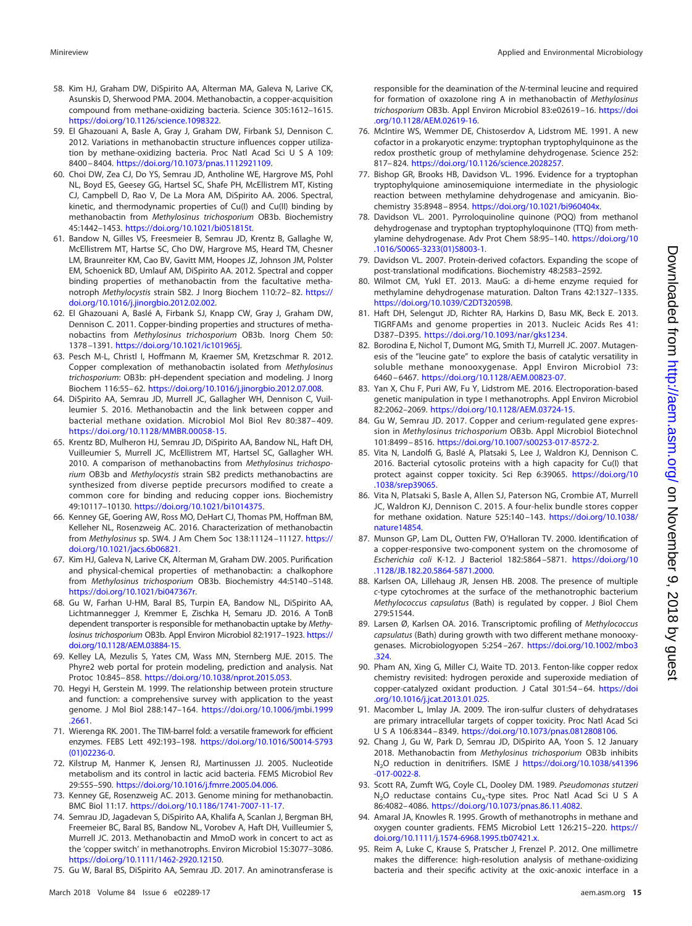- <span id="page-14-0"></span>58. Kim HJ, Graham DW, DiSpirito AA, Alterman MA, Galeva N, Larive CK, Asunskis D, Sherwood PMA. 2004. Methanobactin, a copper-acquisition compound from methane-oxidizing bacteria. Science 305:1612–1615. [https://doi.org/10.1126/science.1098322.](https://doi.org/10.1126/science.1098322)
- <span id="page-14-1"></span>59. El Ghazouani A, Basle A, Gray J, Graham DW, Firbank SJ, Dennison C. 2012. Variations in methanobactin structure influences copper utilization by methane-oxidizing bacteria. Proc Natl Acad Sci U S A 109: 8400 – 8404. [https://doi.org/10.1073/pnas.1112921109.](https://doi.org/10.1073/pnas.1112921109)
- 60. Choi DW, Zea CJ, Do YS, Semrau JD, Antholine WE, Hargrove MS, Pohl NL, Boyd ES, Geesey GG, Hartsel SC, Shafe PH, McEllistrem MT, Kisting CJ, Campbell D, Rao V, De La Mora AM, DiSpirito AA. 2006. Spectral, kinetic, and thermodynamic properties of Cu(I) and Cu(II) binding by methanobactin from Methylosinus trichosporium OB3b. Biochemistry 45:1442–1453. [https://doi.org/10.1021/bi051815t.](https://doi.org/10.1021/bi051815t)
- 61. Bandow N, Gilles VS, Freesmeier B, Semrau JD, Krentz B, Gallaghe W, McEllistrem MT, Hartse SC, Cho DW, Hargrove MS, Heard TM, Chesner LM, Braunreiter KM, Cao BV, Gavitt MM, Hoopes JZ, Johnson JM, Polster EM, Schoenick BD, Umlauf AM, DiSpirito AA. 2012. Spectral and copper binding properties of methanobactin from the facultative methanotroph Methylocystis strain SB2. J Inorg Biochem 110:72– 82. [https://](https://doi.org/10.1016/j.jinorgbio.2012.02.002) [doi.org/10.1016/j.jinorgbio.2012.02.002.](https://doi.org/10.1016/j.jinorgbio.2012.02.002)
- 62. El Ghazouani A, Baslé A, Firbank SJ, Knapp CW, Gray J, Graham DW, Dennison C. 2011. Copper-binding properties and structures of methanobactins from Methylosinus trichosporium OB3b. Inorg Chem 50: 1378 –1391. [https://doi.org/10.1021/ic101965j.](https://doi.org/10.1021/ic101965j)
- <span id="page-14-2"></span>63. Pesch M-L, Christl I, Hoffmann M, Kraemer SM, Kretzschmar R. 2012. Copper complexation of methanobactin isolated from Methylosinus trichosporium: OB3b: pH-dependent speciation and modeling. J Inorg Biochem 116:55– 62. [https://doi.org/10.1016/j.jinorgbio.2012.07.008.](https://doi.org/10.1016/j.jinorgbio.2012.07.008)
- <span id="page-14-3"></span>64. DiSpirito AA, Semrau JD, Murrell JC, Gallagher WH, Dennison C, Vuilleumier S. 2016. Methanobactin and the link between copper and bacterial methane oxidation. Microbiol Mol Biol Rev 80:387– 409. [https://doi.org/10.1128/MMBR.00058-15.](https://doi.org/10.1128/MMBR.00058-15)
- <span id="page-14-4"></span>65. Krentz BD, Mulheron HJ, Semrau JD, DiSpirito AA, Bandow NL, Haft DH, Vuilleumier S, Murrell JC, McEllistrem MT, Hartsel SC, Gallagher WH. 2010. A comparison of methanobactins from Methylosinus trichosporium OB3b and Methylocystis strain SB2 predicts methanobactins are synthesized from diverse peptide precursors modified to create a common core for binding and reducing copper ions. Biochemistry 49:10117–10130. [https://doi.org/10.1021/bi1014375.](https://doi.org/10.1021/bi1014375)
- <span id="page-14-5"></span>66. Kenney GE, Goering AW, Ross MO, DeHart CJ, Thomas PM, Hoffman BM, Kelleher NL, Rosenzweig AC. 2016. Characterization of methanobactin from Methylosinus sp. SW4. J Am Chem Soc 138:11124 –11127. [https://](https://doi.org/10.1021/jacs.6b06821) [doi.org/10.1021/jacs.6b06821.](https://doi.org/10.1021/jacs.6b06821)
- <span id="page-14-6"></span>67. Kim HJ, Galeva N, Larive CK, Alterman M, Graham DW. 2005. Purification and physical-chemical properties of methanobactin: a chalkophore from Methylosinus trichosporium OB3b. Biochemistry 44:5140 –5148. [https://doi.org/10.1021/bi047367r.](https://doi.org/10.1021/bi047367r)
- <span id="page-14-7"></span>68. Gu W, Farhan U-HM, Baral BS, Turpin EA, Bandow NL, DiSpirito AA, Lichtmannegger J, Kremmer E, Zischka H, Semaru JD. 2016. A TonB dependent transporter is responsible for methanobactin uptake by Methylosinus trichosporium OB3b. Appl Environ Microbiol 82:1917–1923. [https://](https://doi.org/10.1128/AEM.03884-15) [doi.org/10.1128/AEM.03884-15.](https://doi.org/10.1128/AEM.03884-15)
- <span id="page-14-9"></span><span id="page-14-8"></span>69. Kelley LA, Mezulis S, Yates CM, Wass MN, Sternberg MJE. 2015. The Phyre2 web portal for protein modeling, prediction and analysis. Nat Protoc 10:845– 858. [https://doi.org/10.1038/nprot.2015.053.](https://doi.org/10.1038/nprot.2015.053)
- 70. Hegyi H, Gerstein M. 1999. The relationship between protein structure and function: a comprehensive survey with application to the yeast genome. J Mol Biol 288:147–164. [https://doi.org/10.1006/jmbi.1999](https://doi.org/10.1006/jmbi.1999.2661) [.2661.](https://doi.org/10.1006/jmbi.1999.2661)
- <span id="page-14-11"></span><span id="page-14-10"></span>71. Wierenga RK. 2001. The TIM-barrel fold: a versatile framework for efficient enzymes. FEBS Lett 492:193–198. [https://doi.org/10.1016/S0014-5793](https://doi.org/10.1016/S0014-5793(01)02236-0) [\(01\)02236-0.](https://doi.org/10.1016/S0014-5793(01)02236-0)
- <span id="page-14-12"></span>72. Kilstrup M, Hanmer K, Jensen RJ, Martinussen JJ. 2005. Nucleotide metabolism and its control in lactic acid bacteria. FEMS Microbiol Rev 29:555–590. [https://doi.org/10.1016/j.fmrre.2005.04.006.](https://doi.org/10.1016/j.fmrre.2005.04.006)
- <span id="page-14-13"></span>73. Kenney GE, Rosenzweig AC. 2013. Genome mining for methanobactin. BMC Biol 11:17. [https://doi.org/10.1186/1741-7007-11-17.](https://doi.org/10.1186/1741-7007-11-17)
- 74. Semrau JD, Jagadevan S, DiSpirito AA, Khalifa A, Scanlan J, Bergman BH, Freemeier BC, Baral BS, Bandow NL, Vorobev A, Haft DH, Vuilleumier S, Murrell JC. 2013. Methanobactin and MmoD work in concert to act as the 'copper switch' in methanotrophs. Environ Microbiol 15:3077–3086. [https://doi.org/10.1111/1462-2920.12150.](https://doi.org/10.1111/1462-2920.12150)
- <span id="page-14-14"></span>75. Gu W, Baral BS, DiSpirito AA, Semrau JD. 2017. An aminotransferase is

responsible for the deamination of the N-terminal leucine and required for formation of oxazolone ring A in methanobactin of Methylosinus trichosporium OB3b. Appl Environ Microbiol 83:e02619 –16. [https://doi](https://doi.org/10.1128/AEM.02619-16) [.org/10.1128/AEM.02619-16.](https://doi.org/10.1128/AEM.02619-16)

- <span id="page-14-15"></span>76. McIntire WS, Wemmer DE, Chistoserdov A, Lidstrom ME. 1991. A new cofactor in a prokaryotic enzyme: tryptophan tryptophylquinone as the redox prosthetic group of methylamine dehydrogenase. Science 252: 817– 824. [https://doi.org/10.1126/science.2028257.](https://doi.org/10.1126/science.2028257)
- 77. Bishop GR, Brooks HB, Davidson VL. 1996. Evidence for a tryptophan tryptophylquione aminosemiquione intermediate in the physiologic reaction between methylamine dehydrogenase and amicyanin. Biochemistry 35:8948 – 8954. [https://doi.org/10.1021/bi960404x.](https://doi.org/10.1021/bi960404x)
- 78. Davidson VL. 2001. Pyrroloquinoline quinone (PQQ) from methanol dehydrogenase and tryptophan tryptophyloquinone (TTQ) from methylamine dehydrogenase. Adv Prot Chem 58:95–140. [https://doi.org/10](https://doi.org/10.1016/S0065-3233(01)58003-1) [.1016/S0065-3233\(01\)58003-1.](https://doi.org/10.1016/S0065-3233(01)58003-1)
- <span id="page-14-17"></span><span id="page-14-16"></span>79. Davidson VL. 2007. Protein-derived cofactors. Expanding the scope of post-translational modifications. Biochemistry 48:2583–2592.
- 80. Wilmot CM, Yukl ET. 2013. MauG: a di-heme enzyme requied for methylamine dehydrogenase maturation. Dalton Trans 42:1327–1335. [https://doi.org/10.1039/C2DT32059B.](https://doi.org/10.1039/C2DT32059B)
- <span id="page-14-18"></span>81. Haft DH, Selengut JD, Richter RA, Harkins D, Basu MK, Beck E. 2013. TIGRFAMs and genome properties in 2013. Nucleic Acids Res 41: D387–D395. [https://doi.org/10.1093/nar/gks1234.](https://doi.org/10.1093/nar/gks1234)
- <span id="page-14-19"></span>82. Borodina E, Nichol T, Dumont MG, Smith TJ, Murrell JC. 2007. Mutagenesis of the "leucine gate" to explore the basis of catalytic versatility in soluble methane monooxygenase. Appl Environ Microbiol 73: 6460 – 6467. [https://doi.org/10.1128/AEM.00823-07.](https://doi.org/10.1128/AEM.00823-07)
- <span id="page-14-20"></span>83. Yan X, Chu F, Puri AW, Fu Y, Lidstrom ME. 2016. Electroporation-based genetic manipulation in type I methanotrophs. Appl Environ Microbiol 82:2062–2069. [https://doi.org/10.1128/AEM.03724-15.](https://doi.org/10.1128/AEM.03724-15)
- <span id="page-14-21"></span>84. Gu W, Semrau JD. 2017. Copper and cerium-regulated gene expression in Methylosinus trichosporium OB3b. Appl Microbiol Biotechnol 101:8499 – 8516. [https://doi.org/10.1007/s00253-017-8572-2.](https://doi.org/10.1007/s00253-017-8572-2)
- <span id="page-14-22"></span>85. Vita N, Landolfi G, Baslé A, Platsaki S, Lee J, Waldron KJ, Dennison C. 2016. Bacterial cytosolic proteins with a high capacity for Cu(I) that protect against copper toxicity. Sci Rep 6:39065. [https://doi.org/10](https://doi.org/10.1038/srep39065) [.1038/srep39065.](https://doi.org/10.1038/srep39065)
- <span id="page-14-23"></span>86. Vita N, Platsaki S, Basle A, Allen SJ, Paterson NG, Crombie AT, Murrell JC, Waldron KJ, Dennison C. 2015. A four-helix bundle stores copper for methane oxidation. Nature 525:140 –143. [https://doi.org/10.1038/](https://doi.org/10.1038/nature14854) [nature14854.](https://doi.org/10.1038/nature14854)
- <span id="page-14-24"></span>87. Munson GP, Lam DL, Outten FW, O'Halloran TV. 2000. Identification of a copper-responsive two-component system on the chromosome of Escherichia coli K-12. J Bacteriol 182:5864 –5871. [https://doi.org/10](https://doi.org/10.1128/JB.182.20.5864-5871.2000) [.1128/JB.182.20.5864-5871.2000.](https://doi.org/10.1128/JB.182.20.5864-5871.2000)
- <span id="page-14-25"></span>88. Karlsen OA, Lillehaug JR, Jensen HB. 2008. The presence of multiple c-type cytochromes at the surface of the methanotrophic bacterium Methylococcus capsulatus (Bath) is regulated by copper. J Biol Chem 279:51544.
- <span id="page-14-26"></span>89. Larsen Ø, Karlsen OA. 2016. Transcriptomic profiling of Methylococcus capsulatus (Bath) during growth with two different methane monooxygenases. Microbiologyopen 5:254 –267. [https://doi.org/10.1002/mbo3](https://doi.org/10.1002/mbo3.324) [.324.](https://doi.org/10.1002/mbo3.324)
- <span id="page-14-27"></span>90. Pham AN, Xing G, Miller CJ, Waite TD. 2013. Fenton-like copper redox chemistry revisited: hydrogen peroxide and superoxide mediation of copper-catalyzed oxidant production. J Catal 301:54 – 64. [https://doi](https://doi.org/10.1016/j.jcat.2013.01.025) [.org/10.1016/j.jcat.2013.01.025.](https://doi.org/10.1016/j.jcat.2013.01.025)
- <span id="page-14-29"></span><span id="page-14-28"></span>91. Macomber L, Imlay JA. 2009. The iron-sulfur clusters of dehydratases are primary intracellular targets of copper toxicity. Proc Natl Acad Sci U S A 106:8344 – 8349. [https://doi.org/10.1073/pnas.0812808106.](https://doi.org/10.1073/pnas.0812808106)
- 92. Chang J, Gu W, Park D, Semrau JD, DiSpirito AA, Yoon S. 12 January 2018. Methanobactin from Methylosinus trichosporium OB3b inhibits N<sub>2</sub>O reduction in denitrifiers. ISME J [https://doi.org/10.1038/s41396](https://doi.org/10.1038/s41396-017-0022-8) [-017-0022-8.](https://doi.org/10.1038/s41396-017-0022-8)
- <span id="page-14-31"></span><span id="page-14-30"></span>93. Scott RA, Zumft WG, Coyle CL, Dooley DM. 1989. Pseudomonas stutzeri N<sub>2</sub>O reductase contains Cu<sub>A</sub>-type sites. Proc Natl Acad Sci U S A 86:4082– 4086. [https://doi.org/10.1073/pnas.86.11.4082.](https://doi.org/10.1073/pnas.86.11.4082)
- <span id="page-14-32"></span>94. Amaral JA, Knowles R. 1995. Growth of methanotrophs in methane and oxygen counter gradients. FEMS Microbiol Lett 126:215–220. [https://](https://doi.org/10.1111/j.1574-6968.1995.tb07421.x) [doi.org/10.1111/j.1574-6968.1995.tb07421.x.](https://doi.org/10.1111/j.1574-6968.1995.tb07421.x)
- 95. Reim A, Luke C, Krause S, Pratscher J, Frenzel P. 2012. One millimetre makes the difference: high-resolution analysis of methane-oxidizing bacteria and their specific activity at the oxic-anoxic interface in a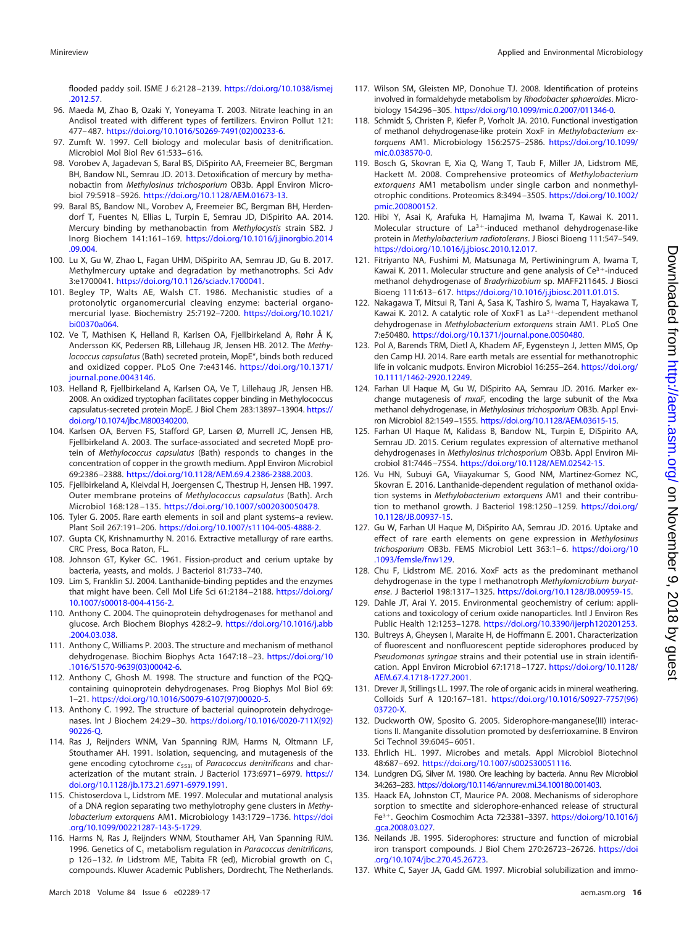- <span id="page-15-0"></span>96. Maeda M, Zhao B, Ozaki Y, Yoneyama T. 2003. Nitrate leaching in an Andisol treated with different types of fertilizers. Environ Pollut 121: 477– 487. [https://doi.org/10.1016/S0269-7491\(02\)00233-6.](https://doi.org/10.1016/S0269-7491(02)00233-6)
- <span id="page-15-2"></span><span id="page-15-1"></span>97. Zumft W. 1997. Cell biology and molecular basis of denitrification. Microbiol Mol Biol Rev 61:533– 616.
- 98. Vorobev A, Jagadevan S, Baral BS, DiSpirito AA, Freemeier BC, Bergman BH, Bandow NL, Semrau JD. 2013. Detoxification of mercury by methanobactin from Methylosinus trichosporium OB3b. Appl Environ Microbiol 79:5918 –5926. [https://doi.org/10.1128/AEM.01673-13.](https://doi.org/10.1128/AEM.01673-13)
- <span id="page-15-3"></span>99. Baral BS, Bandow NL, Vorobev A, Freemeier BC, Bergman BH, Herdendorf T, Fuentes N, Ellias L, Turpin E, Semrau JD, DiSpirito AA. 2014. Mercury binding by methanobactin from Methylocystis strain SB2. J Inorg Biochem 141:161–169. [https://doi.org/10.1016/j.jinorgbio.2014](https://doi.org/10.1016/j.jinorgbio.2014.09.004) [.09.004.](https://doi.org/10.1016/j.jinorgbio.2014.09.004)
- <span id="page-15-4"></span>100. Lu X, Gu W, Zhao L, Fagan UHM, DiSpirito AA, Semrau JD, Gu B. 2017. Methylmercury uptake and degradation by methanotrophs. Sci Adv 3:e1700041. [https://doi.org/10.1126/sciadv.1700041.](https://doi.org/10.1126/sciadv.1700041)
- <span id="page-15-5"></span>101. Begley TP, Walts AE, Walsh CT. 1986. Mechanistic studies of a protonolytic organomercurial cleaving enzyme: bacterial organomercurial lyase. Biochemistry 25:7192–7200. [https://doi.org/10.1021/](https://doi.org/10.1021/bi00370a064) [bi00370a064.](https://doi.org/10.1021/bi00370a064)
- <span id="page-15-6"></span>102. Ve T, Mathisen K, Helland R, Karlsen OA, Fjellbirkeland A, Røhr Å K, Andersson KK, Pedersen RB, Lillehaug JR, Jensen HB. 2012. The Methylococcus capsulatus (Bath) secreted protein, MopE\*, binds both reduced and oxidized copper. PLoS One 7:e43146. [https://doi.org/10.1371/](https://doi.org/10.1371/journal.pone.0043146) journal.pone.0043146
- 103. Helland R, Fjellbirkeland A, Karlsen OA, Ve T, Lillehaug JR, Jensen HB. 2008. An oxidized tryptophan facilitates copper binding in Methylococcus capsulatus-secreted protein MopE. J Biol Chem 283:13897–13904. [https://](https://doi.org/10.1074/jbc.M800340200) [doi.org/10.1074/jbc.M800340200.](https://doi.org/10.1074/jbc.M800340200)
- <span id="page-15-7"></span>104. Karlsen OA, Berven FS, Stafford GP, Larsen Ø, Murrell JC, Jensen HB, Fjellbirkeland A. 2003. The surface-associated and secreted MopE protein of Methylococcus capsulatus (Bath) responds to changes in the concentration of copper in the growth medium. Appl Environ Microbiol 69:2386 –2388. [https://doi.org/10.1128/AEM.69.4.2386-2388.2003.](https://doi.org/10.1128/AEM.69.4.2386-2388.2003)
- <span id="page-15-8"></span>105. Fjellbirkeland A, Kleivdal H, Joergensen C, Thestrup H, Jensen HB. 1997. Outer membrane proteins of Methylococcus capsulatus (Bath). Arch Microbiol 168:128 –135. [https://doi.org/10.1007/s002030050478.](https://doi.org/10.1007/s002030050478)
- <span id="page-15-10"></span><span id="page-15-9"></span>106. Tyler G. 2005. Rare earth elements in soil and plant systems–a review. Plant Soil 267:191–206. [https://doi.org/10.1007/s11104-005-4888-2.](https://doi.org/10.1007/s11104-005-4888-2)
- <span id="page-15-11"></span>107. Gupta CK, Krishnamurthy N. 2016. Extractive metallurgy of rare earths. CRC Press, Boca Raton, FL.
- <span id="page-15-12"></span>108. Johnson GT, Kyker GC. 1961. Fission-product and cerium uptake by bacteria, yeasts, and molds. J Bacteriol 81:733–740.
- <span id="page-15-13"></span>109. Lim S, Franklin SJ. 2004. Lanthanide-binding peptides and the enzymes that might have been. Cell Mol Life Sci 61:2184-2188. [https://doi.org/](https://doi.org/10.1007/s00018-004-4156-2) [10.1007/s00018-004-4156-2.](https://doi.org/10.1007/s00018-004-4156-2)
- 110. Anthony C. 2004. The quinoprotein dehydrogenases for methanol and glucose. Arch Biochem Biophys 428:2–9. [https://doi.org/10.1016/j.abb](https://doi.org/10.1016/j.abb.2004.03.038) [.2004.03.038.](https://doi.org/10.1016/j.abb.2004.03.038)
- <span id="page-15-14"></span>111. Anthony C, Williams P. 2003. The structure and mechanism of methanol dehydrogenase. Biochim Biophys Acta 1647:18 –23. [https://doi.org/10](https://doi.org/10.1016/S1570-9639(03)00042-6) [.1016/S1570-9639\(03\)00042-6.](https://doi.org/10.1016/S1570-9639(03)00042-6)
- <span id="page-15-15"></span>112. Anthony C, Ghosh M. 1998. The structure and function of the PQQcontaining quinoprotein dehydrogenases. Prog Biophys Mol Biol 69: 1–21. [https://doi.org/10.1016/S0079-6107\(97\)00020-5.](https://doi.org/10.1016/S0079-6107(97)00020-5)
- <span id="page-15-16"></span>113. Anthony C. 1992. The structure of bacterial quinoprotein dehydrogenases. Int J Biochem 24:29 –30. [https://doi.org/10.1016/0020-711X\(92\)](https://doi.org/10.1016/0020-711X(92)90226-Q) [90226-Q.](https://doi.org/10.1016/0020-711X(92)90226-Q)
- 114. Ras J, Reijnders WNM, Van Spanning RJM, Harms N, Oltmann LF, Stouthamer AH. 1991. Isolation, sequencing, and mutagenesis of the gene encoding cytochrome  $c_{553i}$  of Paracoccus denitrificans and characterization of the mutant strain. J Bacteriol 173:6971-6979. [https://](https://doi.org/10.1128/jb.173.21.6971-6979.1991) [doi.org/10.1128/jb.173.21.6971-6979.1991.](https://doi.org/10.1128/jb.173.21.6971-6979.1991)
- <span id="page-15-17"></span>115. Chistoserdova L, Lidstrom ME. 1997. Molecular and mutational analysis of a DNA region separating two methylotrophy gene clusters in Methylobacterium extorquens AM1. Microbiology 143:1729-1736. [https://doi](https://doi.org/10.1099/00221287-143-5-1729) [.org/10.1099/00221287-143-5-1729.](https://doi.org/10.1099/00221287-143-5-1729)
- <span id="page-15-18"></span>116. Harms N, Ras J, Reijnders WNM, Stouthamer AH, Van Spanning RJM. 1996. Genetics of  $C_1$  metabolism regulation in Paracoccus denitrificans, p 126-132. In Lidstrom ME, Tabita FR (ed), Microbial growth on  $C_1$ compounds. Kluwer Academic Publishers, Dordrecht, The Netherlands.
- <span id="page-15-19"></span>117. Wilson SM, Gleisten MP, Donohue TJ. 2008. Identification of proteins involved in formaldehyde metabolism by Rhodobacter sphaeroides. Microbiology 154:296 –305. [https://doi.org/10.1099/mic.0.2007/011346-0.](https://doi.org/10.1099/mic.0.2007/011346-0)
- <span id="page-15-20"></span>118. Schmidt S, Christen P, Kiefer P, Vorholt JA. 2010. Functional investigation of methanol dehydrogenase-like protein XoxF in Methylobacterium extorquens AM1. Microbiology 156:2575–2586. [https://doi.org/10.1099/](https://doi.org/10.1099/mic.0.038570-0) [mic.0.038570-0.](https://doi.org/10.1099/mic.0.038570-0)
- <span id="page-15-21"></span>119. Bosch G, Skovran E, Xia Q, Wang T, Taub F, Miller JA, Lidstrom ME, Hackett M. 2008. Comprehensive proteomics of Methylobacterium extorquens AM1 metabolism under single carbon and nonmethylotrophic conditions. Proteomics 8:3494 –3505. [https://doi.org/10.1002/](https://doi.org/10.1002/pmic.200800152) [pmic.200800152.](https://doi.org/10.1002/pmic.200800152)
- <span id="page-15-22"></span>120. Hibi Y, Asai K, Arafuka H, Hamajima M, Iwama T, Kawai K. 2011. Molecular structure of  $La<sup>3+</sup>$ -induced methanol dehydrogenase-like protein in Methylobacterium radiotolerans. J Biosci Bioeng 111:547–549. [https://doi.org/10.1016/j.jbiosc.2010.12.017.](https://doi.org/10.1016/j.jbiosc.2010.12.017)
- 121. Fitriyanto NA, Fushimi M, Matsunaga M, Pertiwiningrum A, Iwama T, Kawai K. 2011. Molecular structure and gene analysis of Ce<sup>3+</sup>-induced methanol dehydrogenase of Bradyrhizobium sp. MAFF211645. J Biosci Bioeng 111:613– 617. [https://doi.org/10.1016/j.jbiosc.2011.01.015.](https://doi.org/10.1016/j.jbiosc.2011.01.015)
- <span id="page-15-23"></span>122. Nakagawa T, Mitsui R, Tani A, Sasa K, Tashiro S, Iwama T, Hayakawa T, Kawai K. 2012. A catalytic role of XoxF1 as  $La<sup>3+</sup>$ -dependent methanol dehydrogenase in Methylobacterium extorquens strain AM1. PLoS One 7:e50480. [https://doi.org/10.1371/journal.pone.0050480.](https://doi.org/10.1371/journal.pone.0050480)
- <span id="page-15-24"></span>123. Pol A, Barends TRM, Dietl A, Khadem AF, Eygensteyn J, Jetten MMS, Op den Camp HJ. 2014. Rare earth metals are essential for methanotrophic life in volcanic mudpots. Environ Microbiol 16:255–264. [https://doi.org/](https://doi.org/10.1111/1462-2920.12249) [10.1111/1462-2920.12249.](https://doi.org/10.1111/1462-2920.12249)
- <span id="page-15-25"></span>124. Farhan Ul Haque M, Gu W, DiSpirito AA, Semrau JD. 2016. Marker exchange mutagenesis of *mxaF*, encoding the large subunit of the Mxa methanol dehydrogenase, in Methylosinus trichosporium OB3b. Appl Environ Microbiol 82:1549 –1555. [https://doi.org/10.1128/AEM.03615-15.](https://doi.org/10.1128/AEM.03615-15)
- <span id="page-15-28"></span>125. Farhan Ul Haque M, Kalidass B, Bandow NL, Turpin E, DiSpirito AA, Semrau JD. 2015. Cerium regulates expression of alternative methanol dehydrogenases in Methylosinus trichosporium OB3b. Appl Environ Microbiol 81:7446 –7554. [https://doi.org/10.1128/AEM.02542-15.](https://doi.org/10.1128/AEM.02542-15)
- 126. Vu HN, Subuyi GA, Viiayakumar S, Good NM, Martinez-Gomez NC, Skovran E. 2016. Lanthanide-dependent regulation of methanol oxidation systems in Methylobacterium extorquens AM1 and their contribution to methanol growth. J Bacteriol 198:1250 –1259. [https://doi.org/](https://doi.org/10.1128/JB.00937-15) [10.1128/JB.00937-15.](https://doi.org/10.1128/JB.00937-15)
- <span id="page-15-26"></span>127. Gu W, Farhan Ul Haque M, DiSpirito AA, Semrau JD. 2016. Uptake and effect of rare earth elements on gene expression in Methylosinus trichosporium OB3b. FEMS Microbiol Lett 363:1-6. [https://doi.org/10](https://doi.org/10.1093/femsle/fnw129) [.1093/femsle/fnw129.](https://doi.org/10.1093/femsle/fnw129)
- <span id="page-15-27"></span>128. Chu F, Lidstrom ME. 2016. XoxF acts as the predominant methanol dehydrogenase in the type I methanotroph Methylomicrobium buryatense. J Bacteriol 198:1317–1325. [https://doi.org/10.1128/JB.00959-15.](https://doi.org/10.1128/JB.00959-15)
- <span id="page-15-29"></span>129. Dahle JT, Arai Y. 2015. Environmental geochemistry of cerium: applications and toxicology of cerium oxide nanoparticles. Intl J Environ Res Public Health 12:1253–1278. [https://doi.org/10.3390/ijerph120201253.](https://doi.org/10.3390/ijerph120201253)
- <span id="page-15-30"></span>130. Bultreys A, Gheysen I, Maraite H, de Hoffmann E. 2001. Characterization of fluorescent and nonfluorescent peptide siderophores produced by Pseudomonas syringae strains and their potential use in strain identification. Appl Environ Microbiol 67:1718 –1727. [https://doi.org/10.1128/](https://doi.org/10.1128/AEM.67.4.1718-1727.2001) [AEM.67.4.1718-1727.2001.](https://doi.org/10.1128/AEM.67.4.1718-1727.2001)
- 131. Drever JI, Stillings LL. 1997. The role of organic acids in mineral weathering. Colloids Surf A 120:167–181. [https://doi.org/10.1016/S0927-7757\(96\)](https://doi.org/10.1016/S0927-7757(96)03720-X) [03720-X.](https://doi.org/10.1016/S0927-7757(96)03720-X)
- 132. Duckworth OW, Sposito G. 2005. Siderophore-manganese(III) interactions II. Manganite dissolution promoted by desferrioxamine. B Environ Sci Technol 39:6045– 6051.
- 133. Ehrlich HL. 1997. Microbes and metals. Appl Microbiol Biotechnol 48:687– 692. [https://doi.org/10.1007/s002530051116.](https://doi.org/10.1007/s002530051116)
- 134. Lundgren DG, Silver M. 1980. Ore leaching by bacteria. Annu Rev Microbiol 34:263–283. [https://doi.org/10.1146/annurev.mi.34.100180.001403.](https://doi.org/10.1146/annurev.mi.34.100180.001403)
- 135. Haack EA, Johnston CT, Maurice PA. 2008. Mechanisms of siderophore sorption to smectite and siderophore-enhanced release of structural Fe3. Geochim Cosmochim Acta 72:3381–3397. [https://doi.org/10.1016/j](https://doi.org/10.1016/j.gca.2008.03.027) [.gca.2008.03.027.](https://doi.org/10.1016/j.gca.2008.03.027)
- <span id="page-15-32"></span><span id="page-15-31"></span>136. Neilands JB. 1995. Siderophores: structure and function of microbial iron transport compounds. J Biol Chem 270:26723–26726. [https://doi](https://doi.org/10.1074/jbc.270.45.26723) [.org/10.1074/jbc.270.45.26723.](https://doi.org/10.1074/jbc.270.45.26723)
- 137. White C, Sayer JA, Gadd GM. 1997. Microbial solubilization and immo-